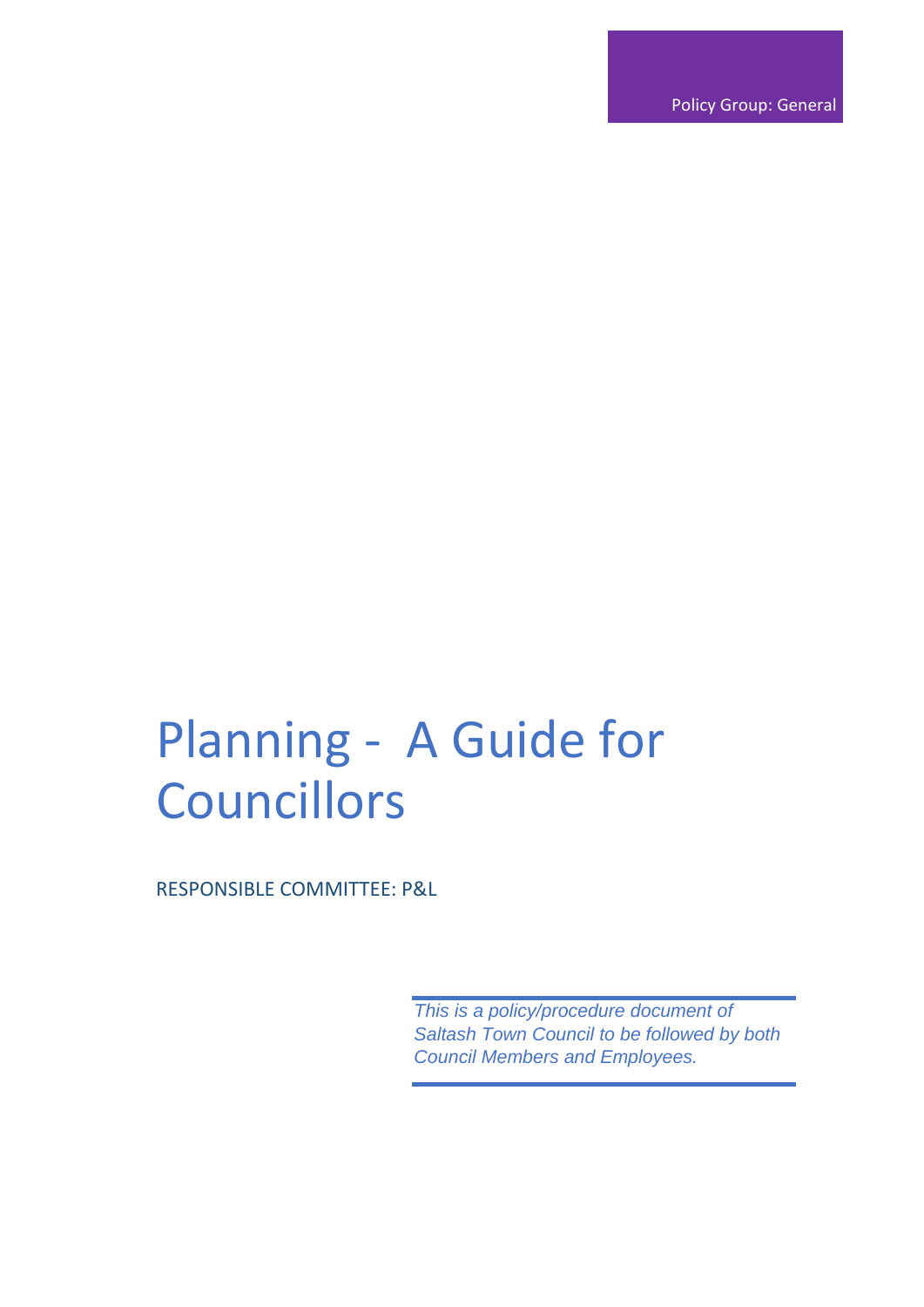Policy Group: General

## Planning - A Guide for **Councillors**

RESPONSIBLE COMMITTEE: P&L

*This is a policy/procedure document of Saltash Town Council to be followed by both Council Members and Employees.*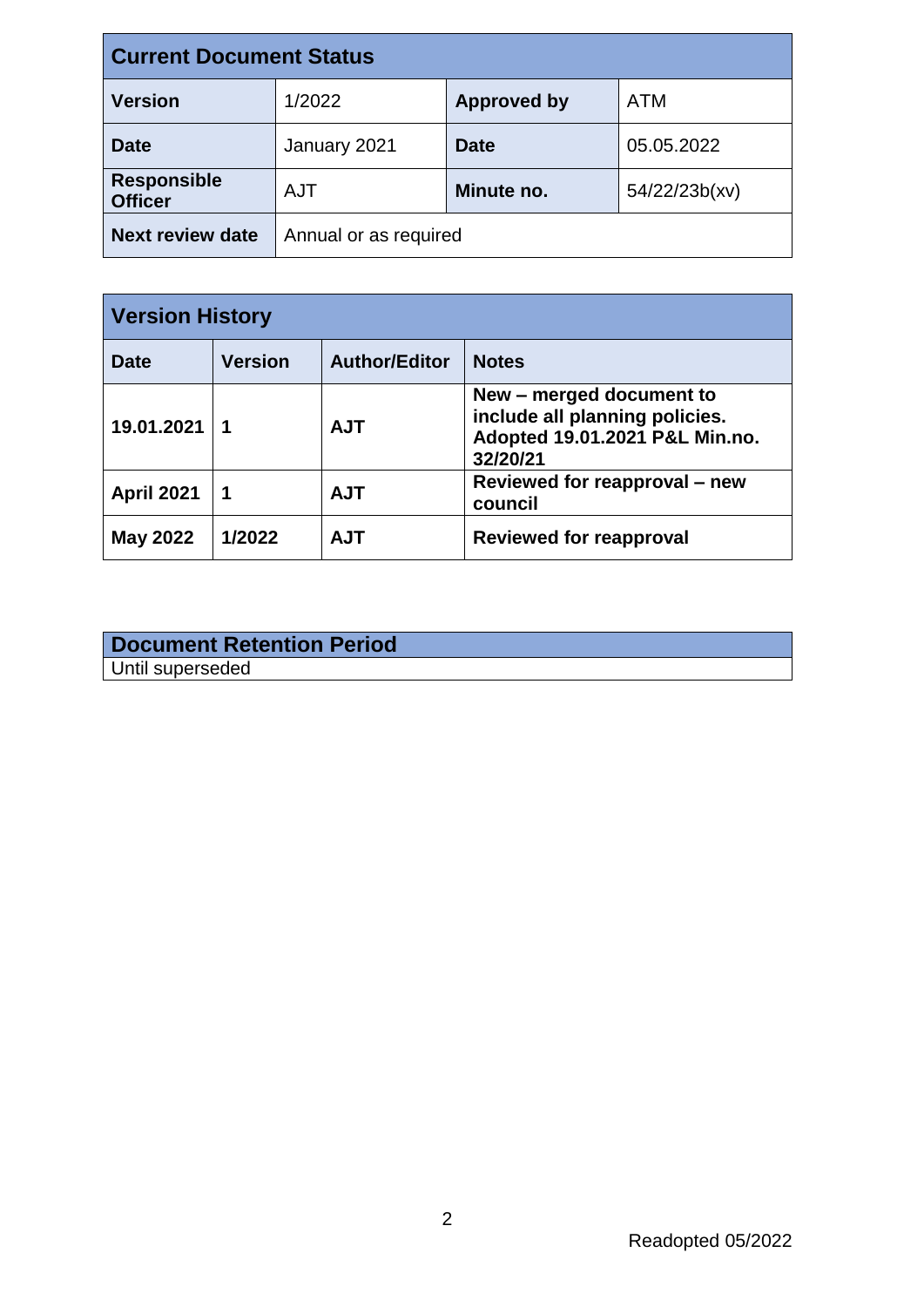| <b>Current Document Status</b>       |                       |                    |               |  |
|--------------------------------------|-----------------------|--------------------|---------------|--|
| <b>Version</b>                       | 1/2022                | <b>Approved by</b> | ATM           |  |
| <b>Date</b>                          | January 2021          | <b>Date</b>        | 05.05.2022    |  |
| <b>Responsible</b><br><b>Officer</b> | <b>AJT</b>            | Minute no.         | 54/22/23b(xv) |  |
| <b>Next review date</b>              | Annual or as required |                    |               |  |

| <b>Version History</b> |                |                      |                                                                                                          |
|------------------------|----------------|----------------------|----------------------------------------------------------------------------------------------------------|
| <b>Date</b>            | <b>Version</b> | <b>Author/Editor</b> | <b>Notes</b>                                                                                             |
| 19.01.2021             | 1              | <b>AJT</b>           | New – merged document to<br>include all planning policies.<br>Adopted 19.01.2021 P&L Min.no.<br>32/20/21 |
| <b>April 2021</b>      | 1              | <b>AJT</b>           | Reviewed for reapproval – new<br>council                                                                 |
| <b>May 2022</b>        | 1/2022         | <b>AJT</b>           | <b>Reviewed for reapproval</b>                                                                           |

| <b>Document Retention Period</b> |  |
|----------------------------------|--|
| Until superseded                 |  |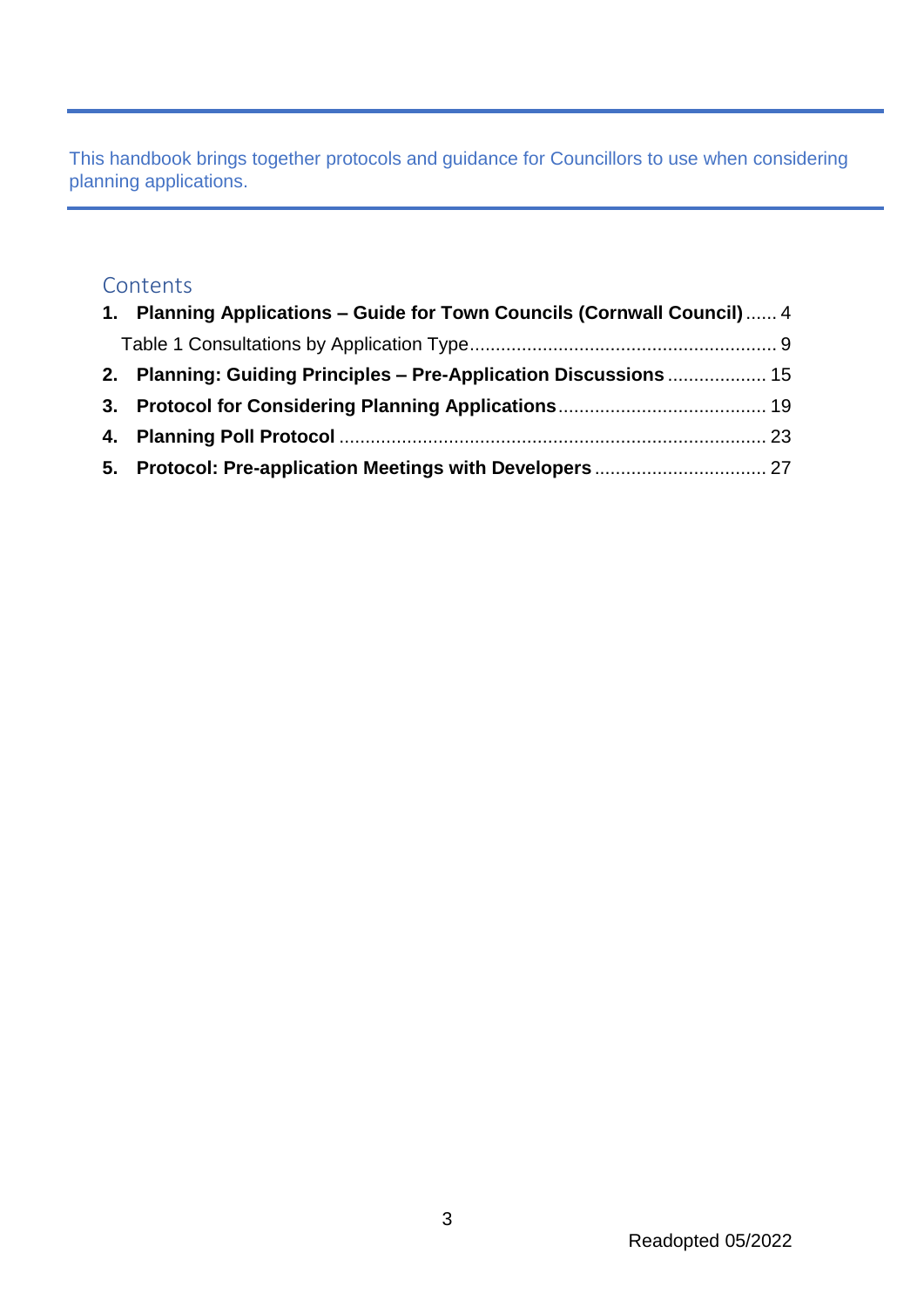This handbook brings together protocols and guidance for Councillors to use when considering planning applications.

#### **Contents**

| 1. Planning Applications - Guide for Town Councils (Cornwall Council)  4 |  |
|--------------------------------------------------------------------------|--|
|                                                                          |  |
| 2. Planning: Guiding Principles – Pre-Application Discussions  15        |  |
|                                                                          |  |
|                                                                          |  |
|                                                                          |  |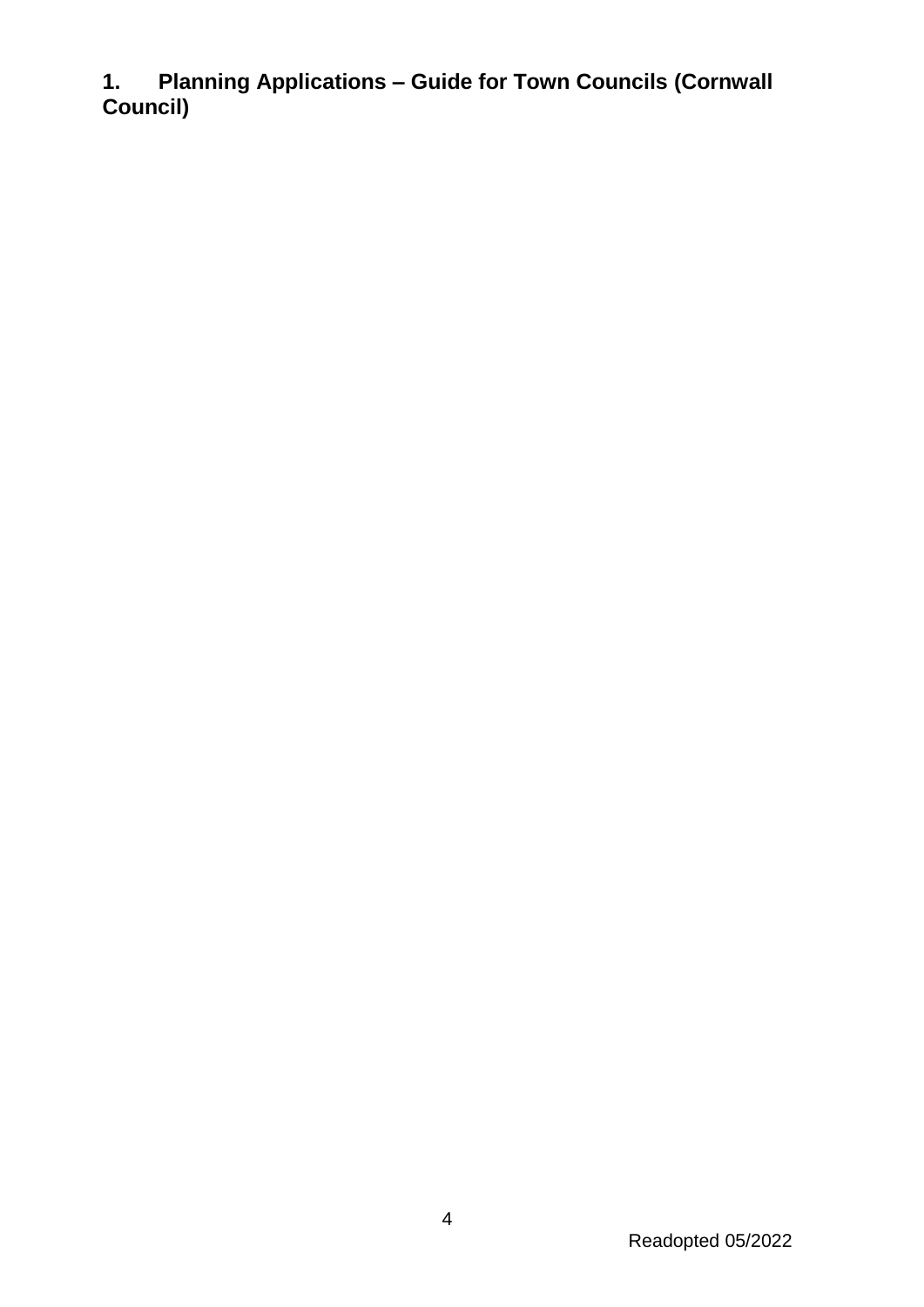<span id="page-3-0"></span>**1. Planning Applications – Guide for Town Councils (Cornwall Council)**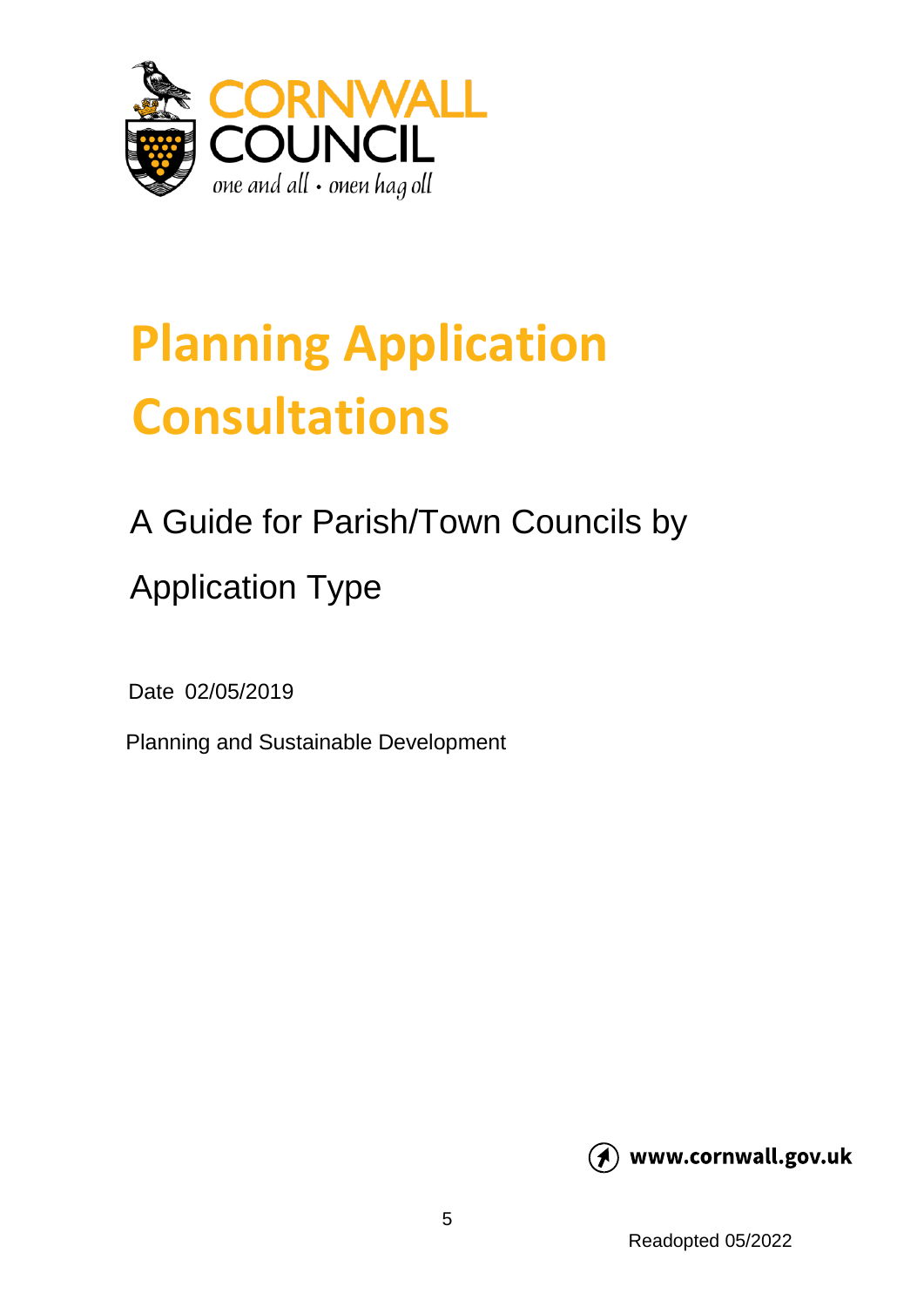

# **Planning Application Consultations**

## A Guide for Parish/Town Councils by Application Type

Date 02/05/2019

Planning and Sustainable Development

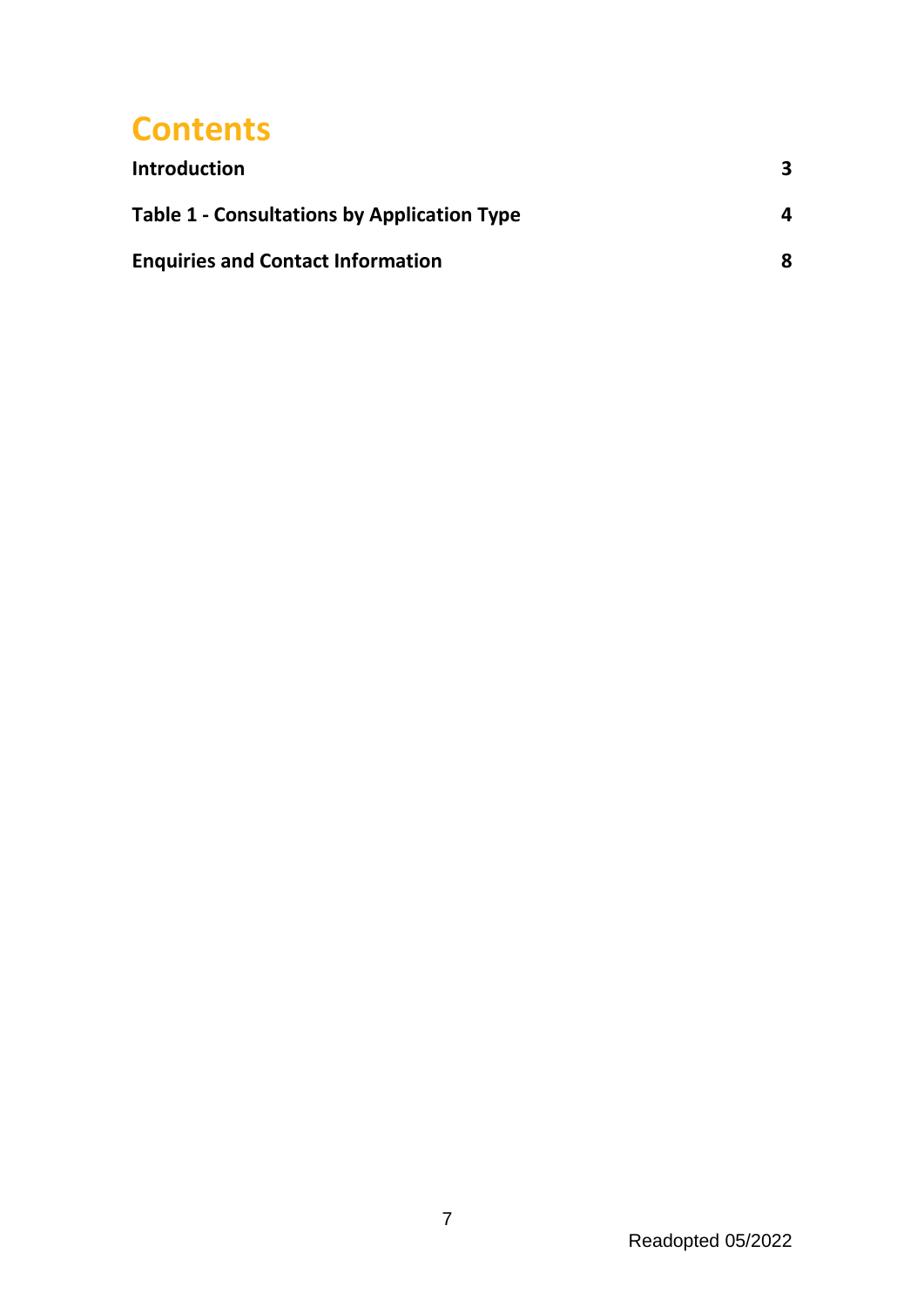## **Contents**

| <b>Introduction</b>                                | 3. |
|----------------------------------------------------|----|
| <b>Table 1 - Consultations by Application Type</b> | 4  |
| <b>Enquiries and Contact Information</b>           | 8  |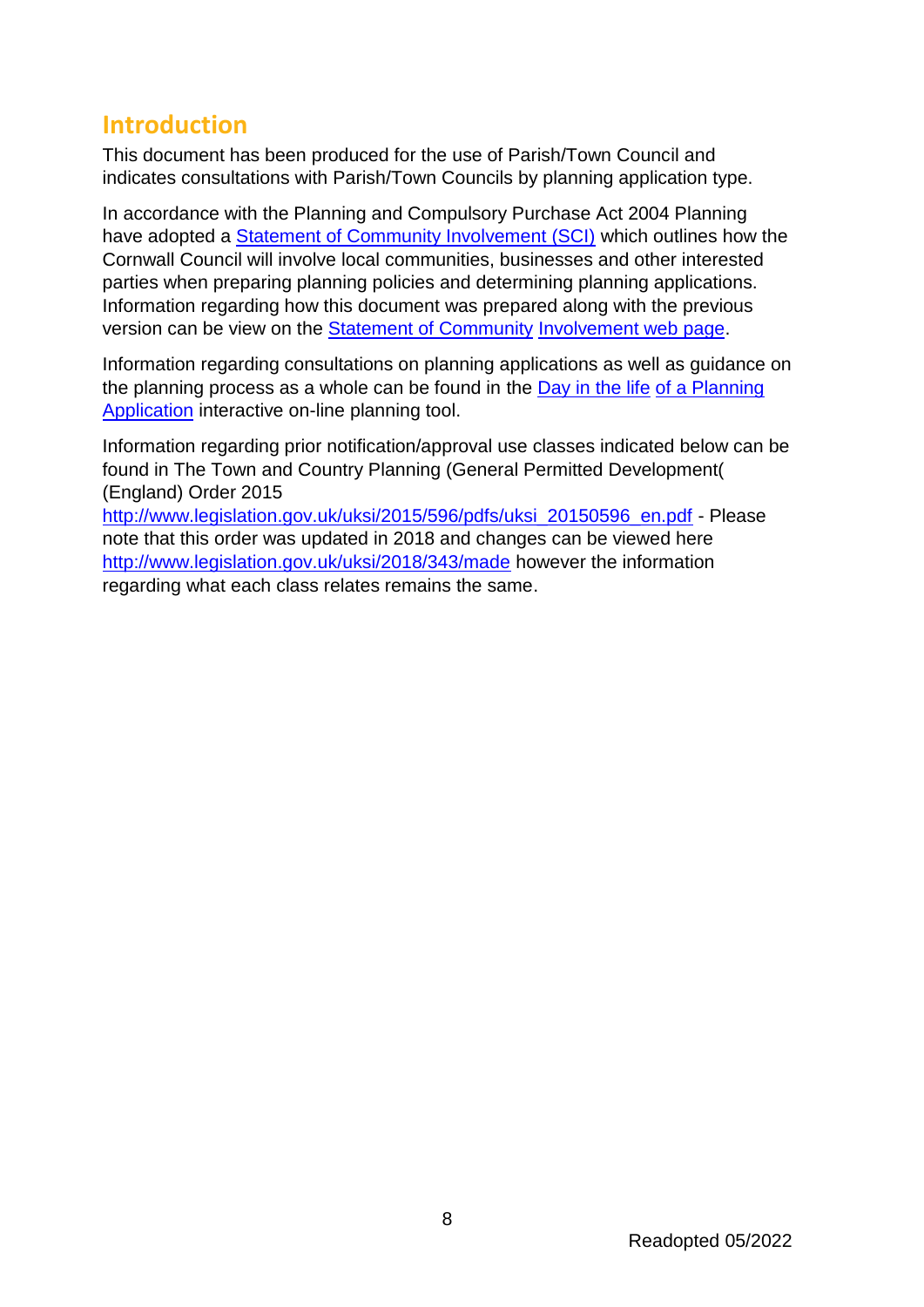### **Introduction**

This document has been produced for the use of Parish/Town Council and indicates consultations with Parish/Town Councils by planning application type.

In accordance with the Planning and Compulsory Purchase Act 2004 Planning have adopted a [Statement of Community Involvement \(SCI\)](https://www.cornwall.gov.uk/media/33941411/adopted-statement-of-community-involvement-for-planning-july-2018.pdf) which outlines how the Cornwall Council will involve local communities, businesses and other interested parties when preparing planning policies and determining planning applications. Information regarding how this document was prepared along with the previous version can be view on the [Statement of Community](https://www.cornwall.gov.uk/environment-and-planning/planning/planning-policy/adopted-plans/statement-of-community-involvement/) [Involvement web page.](https://www.cornwall.gov.uk/environment-and-planning/planning/planning-policy/adopted-plans/statement-of-community-involvement/)

Information regarding consultations on planning applications as well as guidance on the planning process as a whole can be found in the [Day in the life](https://www.cornwall.gov.uk/media/37768354/day-in-the-life-of-a-planning-application.pdf) [of a Planning](https://www.cornwall.gov.uk/media/37768354/day-in-the-life-of-a-planning-application.pdf)  [Application](https://www.cornwall.gov.uk/media/37768354/day-in-the-life-of-a-planning-application.pdf) interactive on-line planning tool.

Information regarding prior notification/approval use classes indicated below can be found in The Town and Country Planning (General Permitted Development( (England) Order 2015

[http://www.legislation.gov.uk/uksi/2015/596/pdfs/uksi\\_20150596\\_en.pdf](http://www.legislation.gov.uk/uksi/2015/596/pdfs/uksi_20150596_en.pdf) [-](http://www.legislation.gov.uk/uksi/2015/596/pdfs/uksi_20150596_en.pdf) Please note that this order was updated in 2018 and changes can be viewed here <http://www.legislation.gov.uk/uksi/2018/343/made> however the information regarding what each class relates remains the same.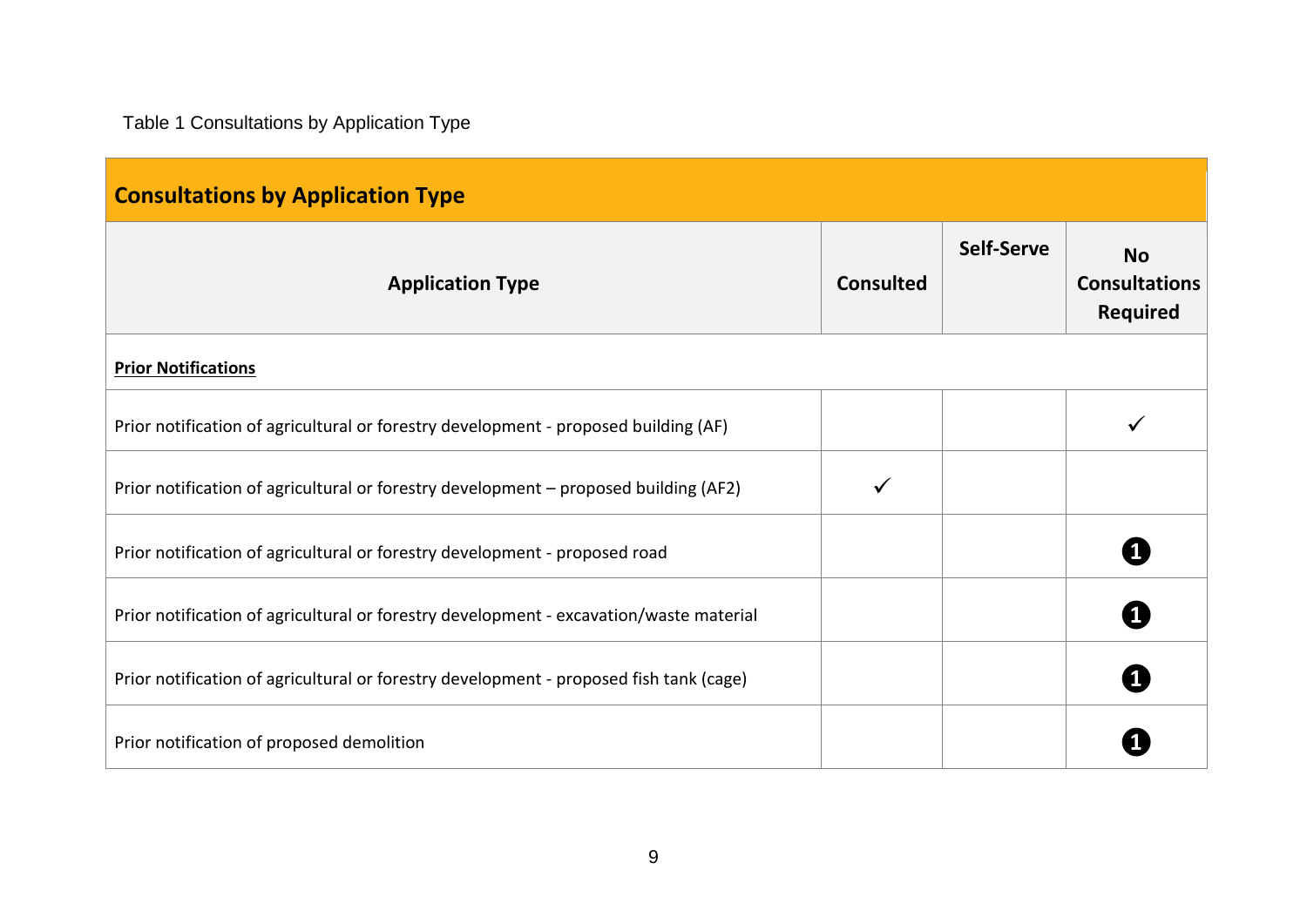Table 1 Consultations by Application Type

<span id="page-8-0"></span>

| <b>Consultations by Application Type</b>                                               |                  |            |                                                      |
|----------------------------------------------------------------------------------------|------------------|------------|------------------------------------------------------|
| <b>Application Type</b>                                                                | <b>Consulted</b> | Self-Serve | <b>No</b><br><b>Consultations</b><br><b>Required</b> |
| <b>Prior Notifications</b>                                                             |                  |            |                                                      |
| Prior notification of agricultural or forestry development - proposed building (AF)    |                  |            |                                                      |
| Prior notification of agricultural or forestry development - proposed building (AF2)   |                  |            |                                                      |
| Prior notification of agricultural or forestry development - proposed road             |                  |            |                                                      |
| Prior notification of agricultural or forestry development - excavation/waste material |                  |            |                                                      |
| Prior notification of agricultural or forestry development - proposed fish tank (cage) |                  |            |                                                      |
| Prior notification of proposed demolition                                              |                  |            |                                                      |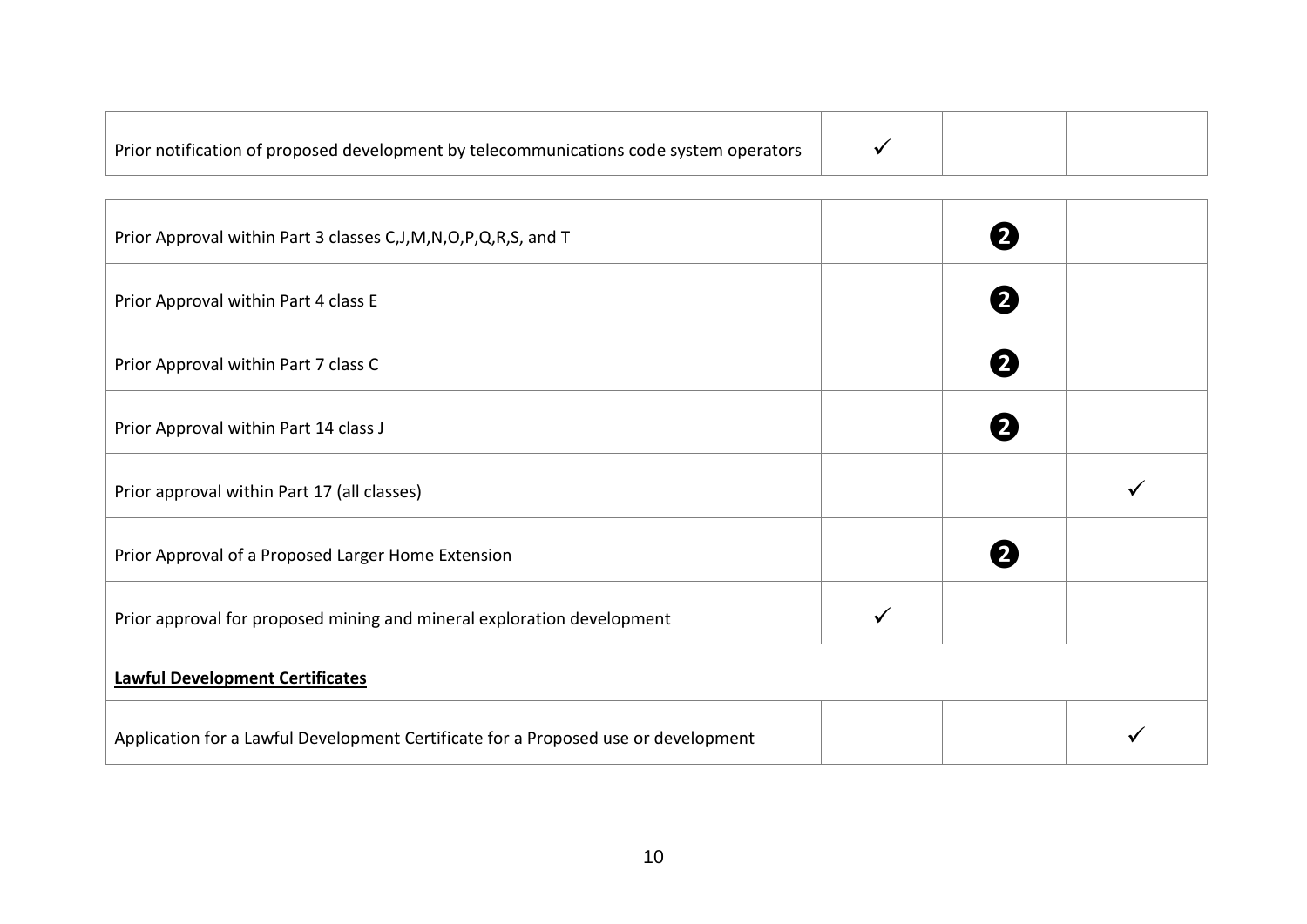| Prior Approval within Part 3 classes C, J, M, N, O, P, Q, R, S, and T              | $\mathbf{2}$ |  |
|------------------------------------------------------------------------------------|--------------|--|
| Prior Approval within Part 4 class E                                               | 2            |  |
| Prior Approval within Part 7 class C                                               | 2            |  |
| Prior Approval within Part 14 class J                                              |              |  |
| Prior approval within Part 17 (all classes)                                        |              |  |
| Prior Approval of a Proposed Larger Home Extension                                 |              |  |
| Prior approval for proposed mining and mineral exploration development             |              |  |
| <b>Lawful Development Certificates</b>                                             |              |  |
| Application for a Lawful Development Certificate for a Proposed use or development |              |  |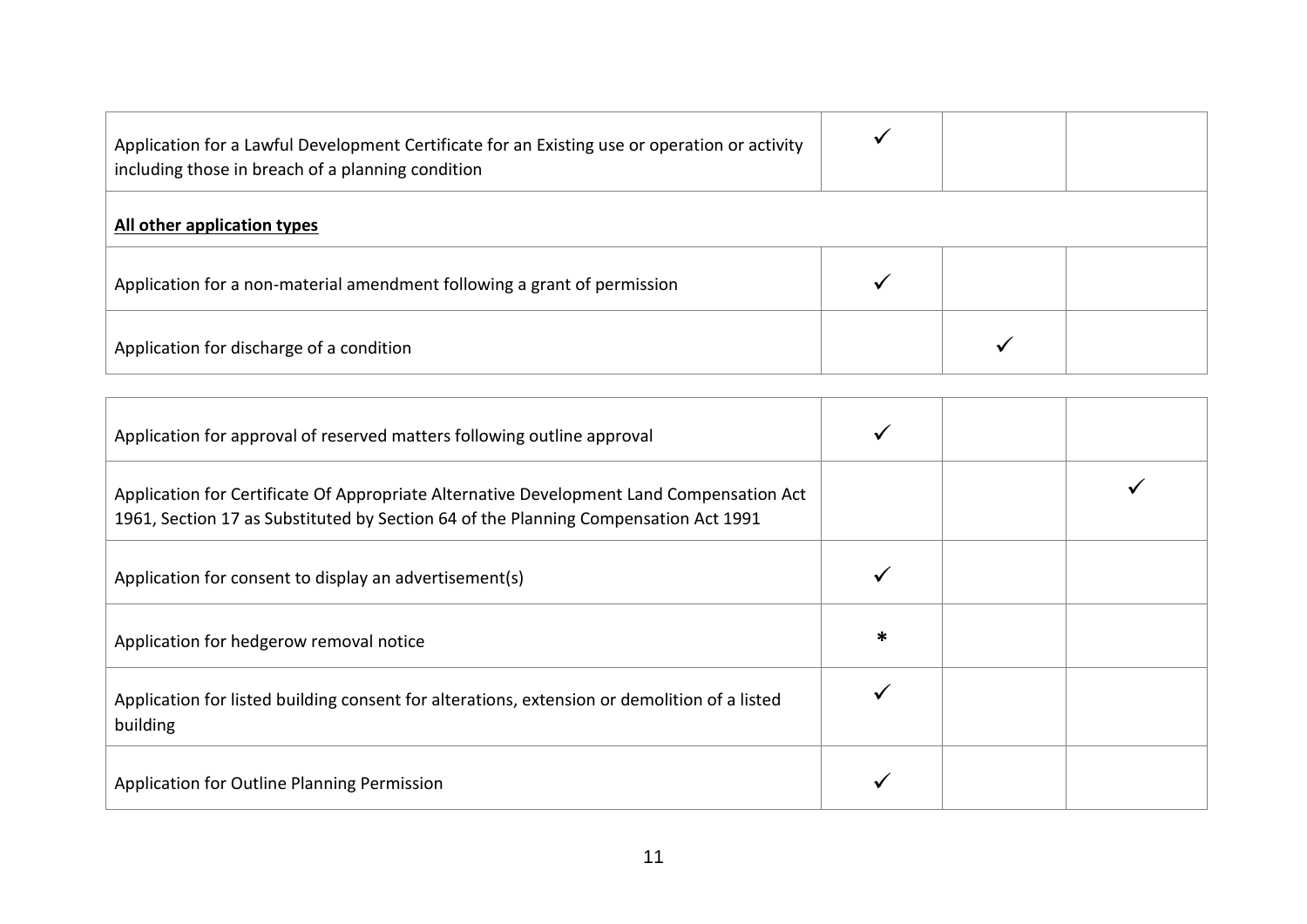| Application for a Lawful Development Certificate for an Existing use or operation or activity<br>including those in breach of a planning condition |  |  |
|----------------------------------------------------------------------------------------------------------------------------------------------------|--|--|
| All other application types                                                                                                                        |  |  |
| Application for a non-material amendment following a grant of permission                                                                           |  |  |
| Application for discharge of a condition                                                                                                           |  |  |

| Application for approval of reserved matters following outline approval                                                                                                         |   |  |
|---------------------------------------------------------------------------------------------------------------------------------------------------------------------------------|---|--|
| Application for Certificate Of Appropriate Alternative Development Land Compensation Act<br>1961, Section 17 as Substituted by Section 64 of the Planning Compensation Act 1991 |   |  |
| Application for consent to display an advertisement(s)                                                                                                                          |   |  |
| Application for hedgerow removal notice                                                                                                                                         | ∗ |  |
| Application for listed building consent for alterations, extension or demolition of a listed<br>building                                                                        |   |  |
| Application for Outline Planning Permission                                                                                                                                     |   |  |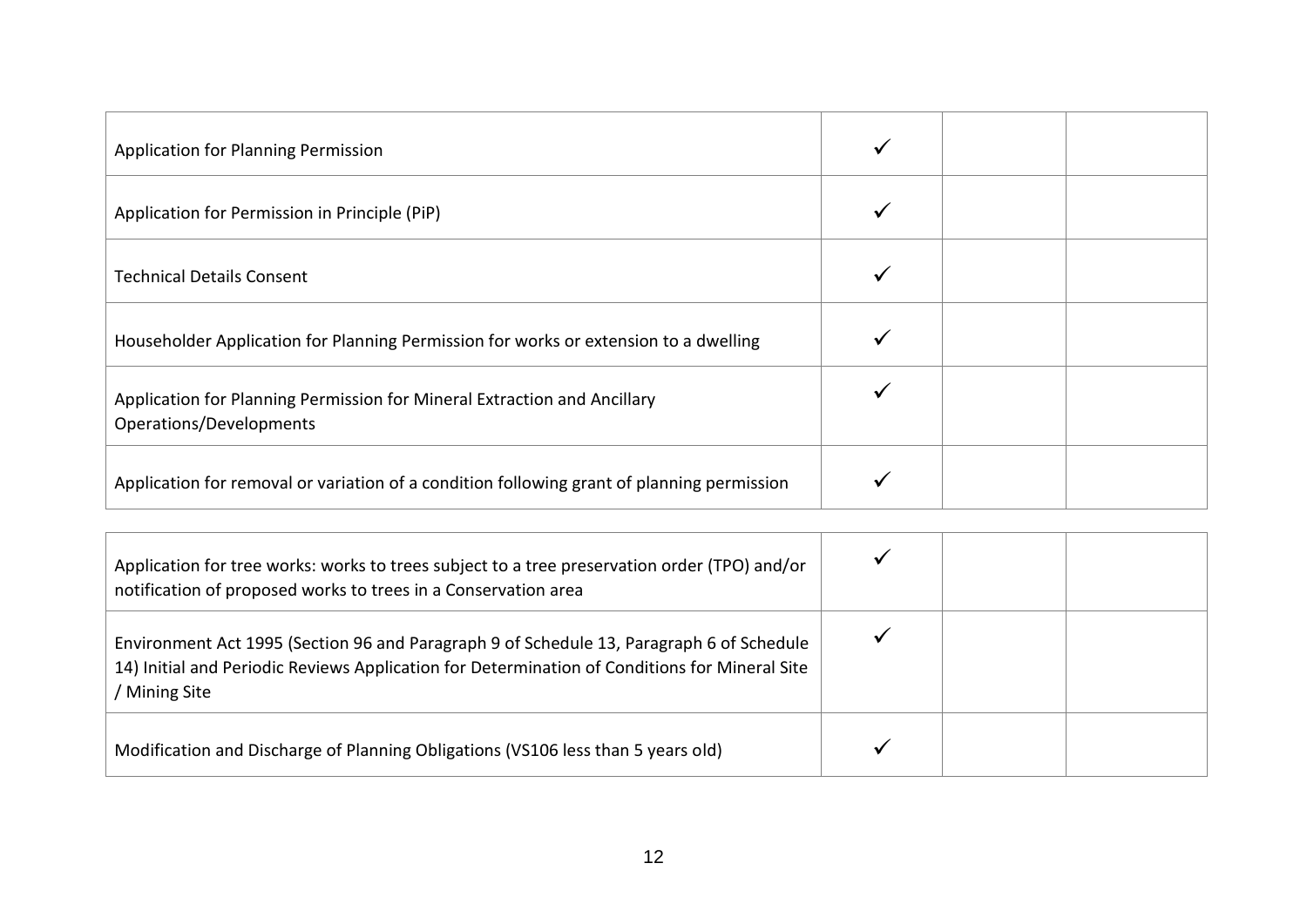| <b>Application for Planning Permission</b>                                                          |  |  |
|-----------------------------------------------------------------------------------------------------|--|--|
| Application for Permission in Principle (PiP)                                                       |  |  |
| <b>Technical Details Consent</b>                                                                    |  |  |
| Householder Application for Planning Permission for works or extension to a dwelling                |  |  |
| Application for Planning Permission for Mineral Extraction and Ancillary<br>Operations/Developments |  |  |
| Application for removal or variation of a condition following grant of planning permission          |  |  |

| Application for tree works: works to trees subject to a tree preservation order (TPO) and/or<br>notification of proposed works to trees in a Conservation area                                             |  |  |
|------------------------------------------------------------------------------------------------------------------------------------------------------------------------------------------------------------|--|--|
| Environment Act 1995 (Section 96 and Paragraph 9 of Schedule 13, Paragraph 6 of Schedule<br>14) Initial and Periodic Reviews Application for Determination of Conditions for Mineral Site<br>/ Mining Site |  |  |
| Modification and Discharge of Planning Obligations (VS106 less than 5 years old)                                                                                                                           |  |  |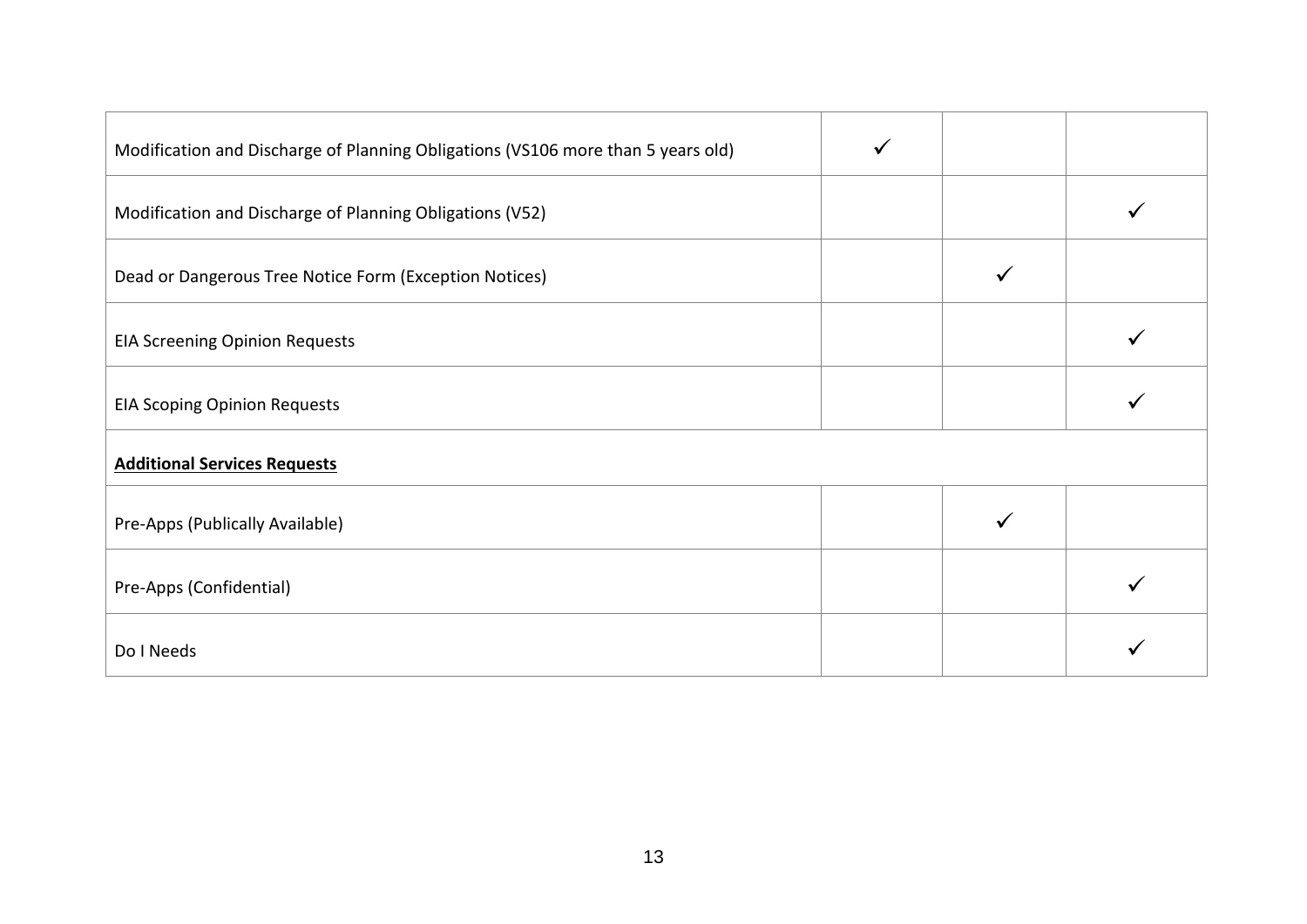| Modification and Discharge of Planning Obligations (VS106 more than 5 years old) |  |  |
|----------------------------------------------------------------------------------|--|--|
| Modification and Discharge of Planning Obligations (V52)                         |  |  |
| Dead or Dangerous Tree Notice Form (Exception Notices)                           |  |  |
| <b>EIA Screening Opinion Requests</b>                                            |  |  |
| <b>EIA Scoping Opinion Requests</b>                                              |  |  |
| <b>Additional Services Requests</b>                                              |  |  |
| Pre-Apps (Publically Available)                                                  |  |  |
| Pre-Apps (Confidential)                                                          |  |  |
| Do I Needs                                                                       |  |  |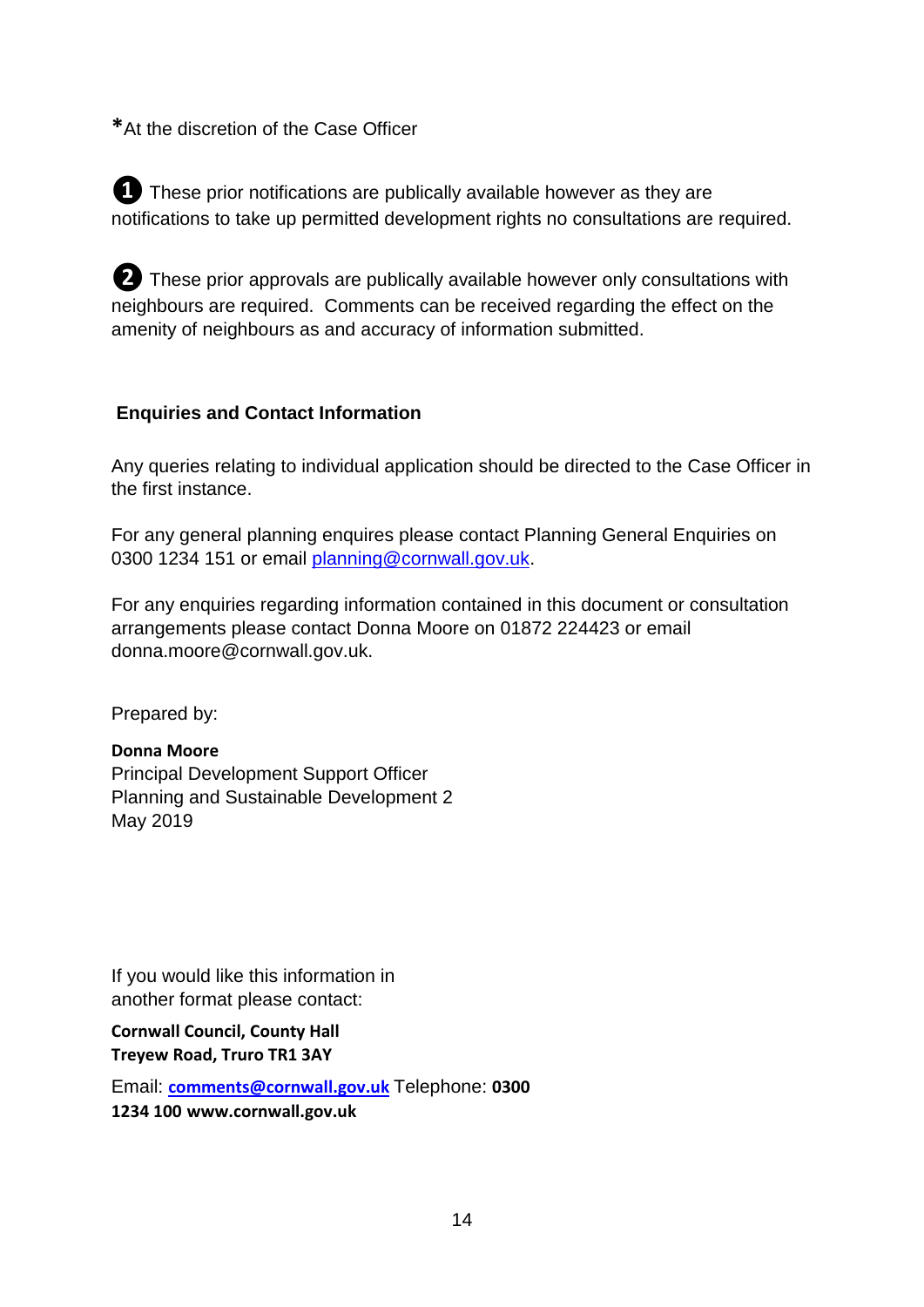**\***At the discretion of the Case Officer

*D* These prior notifications are publically available however as they are notifications to take up permitted development rights no consultations are required.

**❷**These prior approvals are publically available however only consultations with neighbours are required. Comments can be received regarding the effect on the amenity of neighbours as and accuracy of information submitted.

#### **Enquiries and Contact Information**

Any queries relating to individual application should be directed to the Case Officer in the first instance.

For any general planning enquires please contact Planning General Enquiries on 0300 1234 151 or email planning@cornwall.gov.uk.

For any enquiries regarding information contained in this document or consultation arrangements please contact Donna Moore on 01872 224423 or email donna.moore@cornwall.gov.uk.

Prepared by:

#### **Donna Moore**

Principal Development Support Officer Planning and Sustainable Development 2 May 2019

If you would like this information in another format please contact:

**Cornwall Council, County Hall Treyew Road, Truro TR1 3AY** 

Email: **comments@cornwall.gov.uk** Telephone: **0300 1234 100 www.cornwall.gov.uk**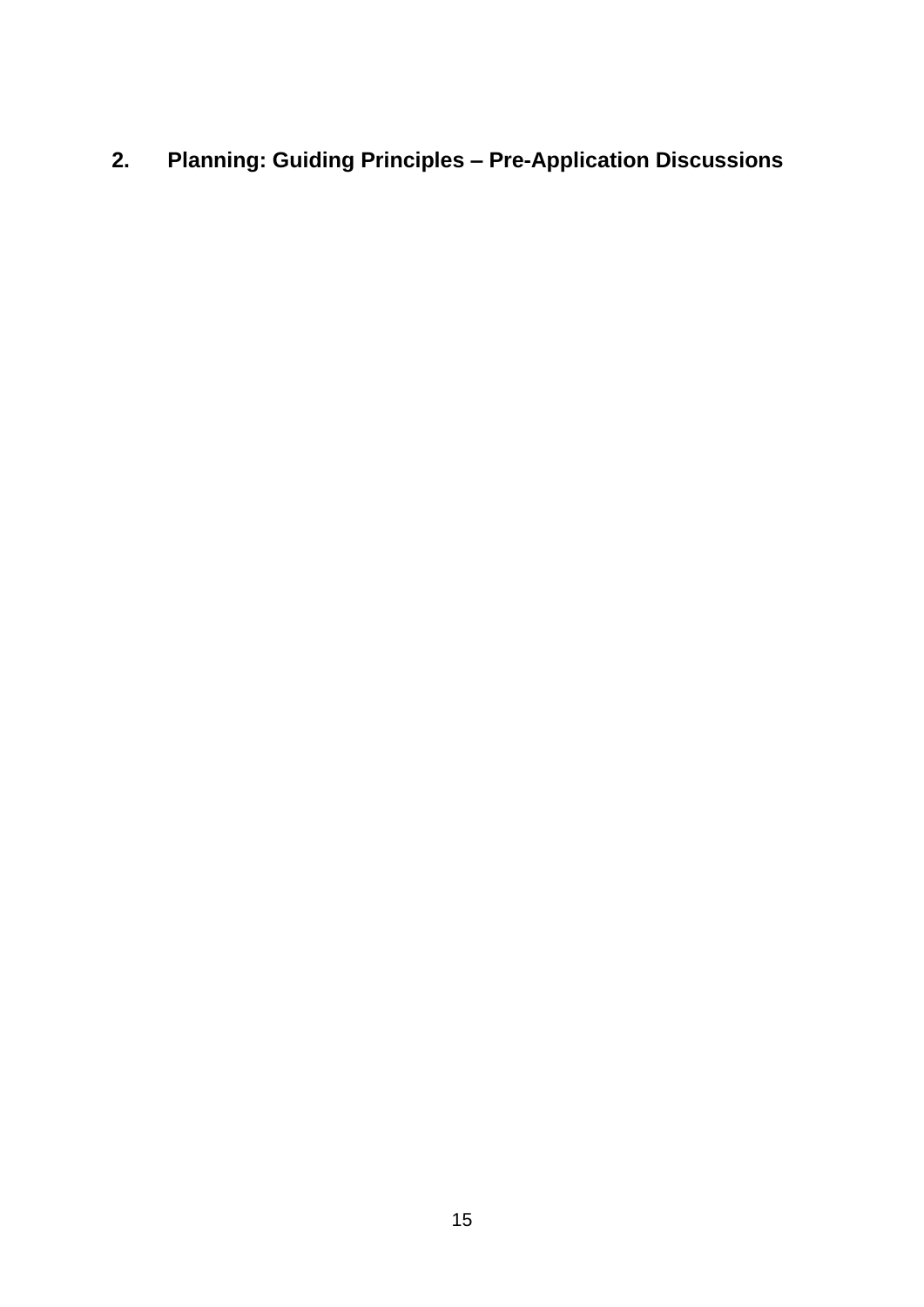## <span id="page-14-0"></span>**2. Planning: Guiding Principles – Pre-Application Discussions**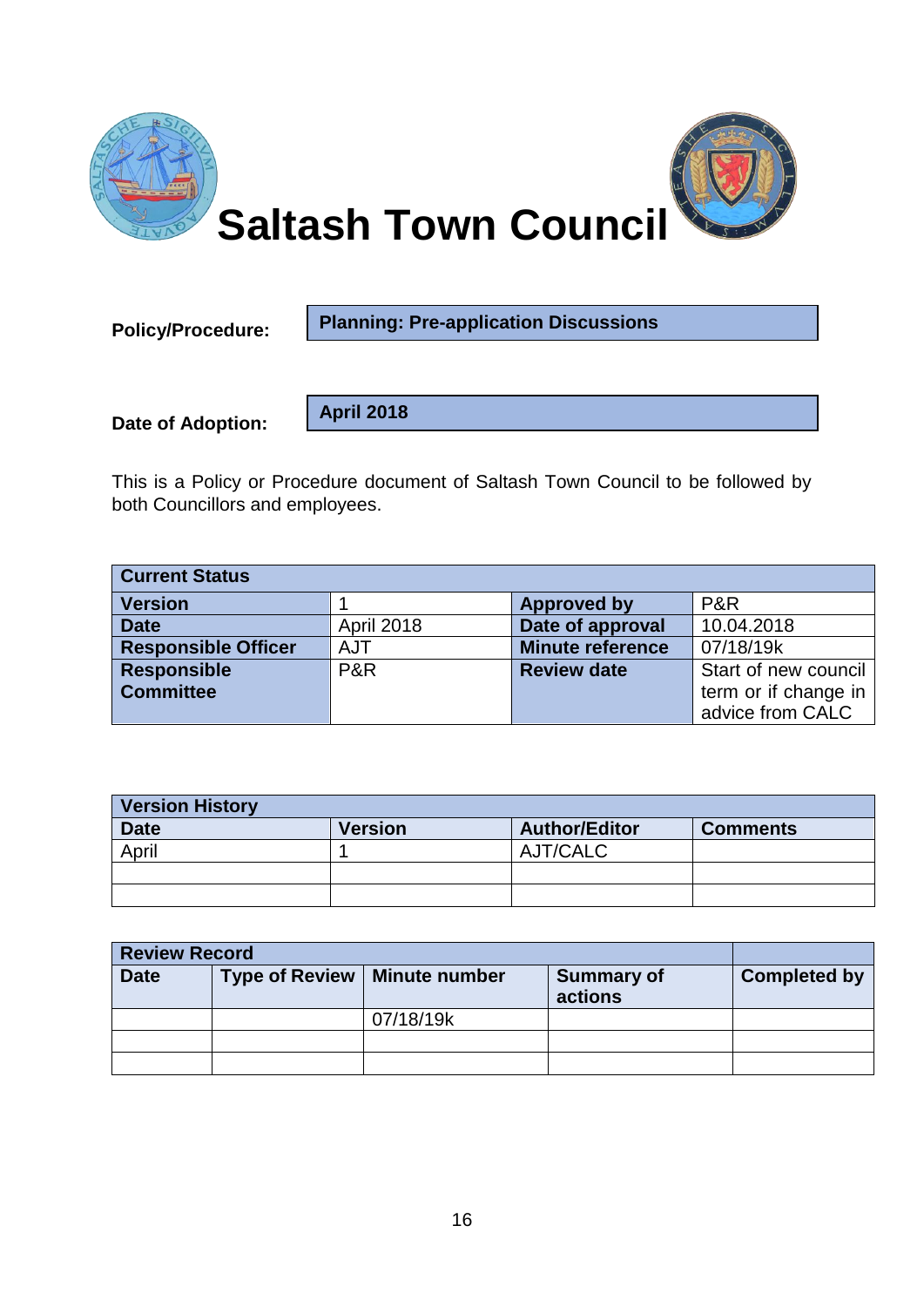

**Policy/Procedure:** 

**Planning: Pre-application Discussions**

**Date of Adoption:**

**April 2018**

This is a Policy or Procedure document of Saltash Town Council to be followed by both Councillors and employees.

| <b>Current Status</b>      |                   |                         |                      |
|----------------------------|-------------------|-------------------------|----------------------|
| <b>Version</b>             |                   | <b>Approved by</b>      | P&R                  |
| <b>Date</b>                | <b>April 2018</b> | Date of approval        | 10.04.2018           |
| <b>Responsible Officer</b> | <b>AJT</b>        | <b>Minute reference</b> | 07/18/19k            |
| <b>Responsible</b>         | P&R               | <b>Review date</b>      | Start of new council |
| <b>Committee</b>           |                   |                         | term or if change in |
|                            |                   |                         | advice from CALC     |

| <b>Version History</b> |                |                      |                 |
|------------------------|----------------|----------------------|-----------------|
| <b>Date</b>            | <b>Version</b> | <b>Author/Editor</b> | <b>Comments</b> |
| April                  |                | AJT/CALC             |                 |
|                        |                |                      |                 |
|                        |                |                      |                 |

| <b>Review Record</b> |                                |                   |                     |
|----------------------|--------------------------------|-------------------|---------------------|
| <b>Date</b>          | Type of Review   Minute number | <b>Summary of</b> | <b>Completed by</b> |
|                      |                                | actions           |                     |
|                      | 07/18/19k                      |                   |                     |
|                      |                                |                   |                     |
|                      |                                |                   |                     |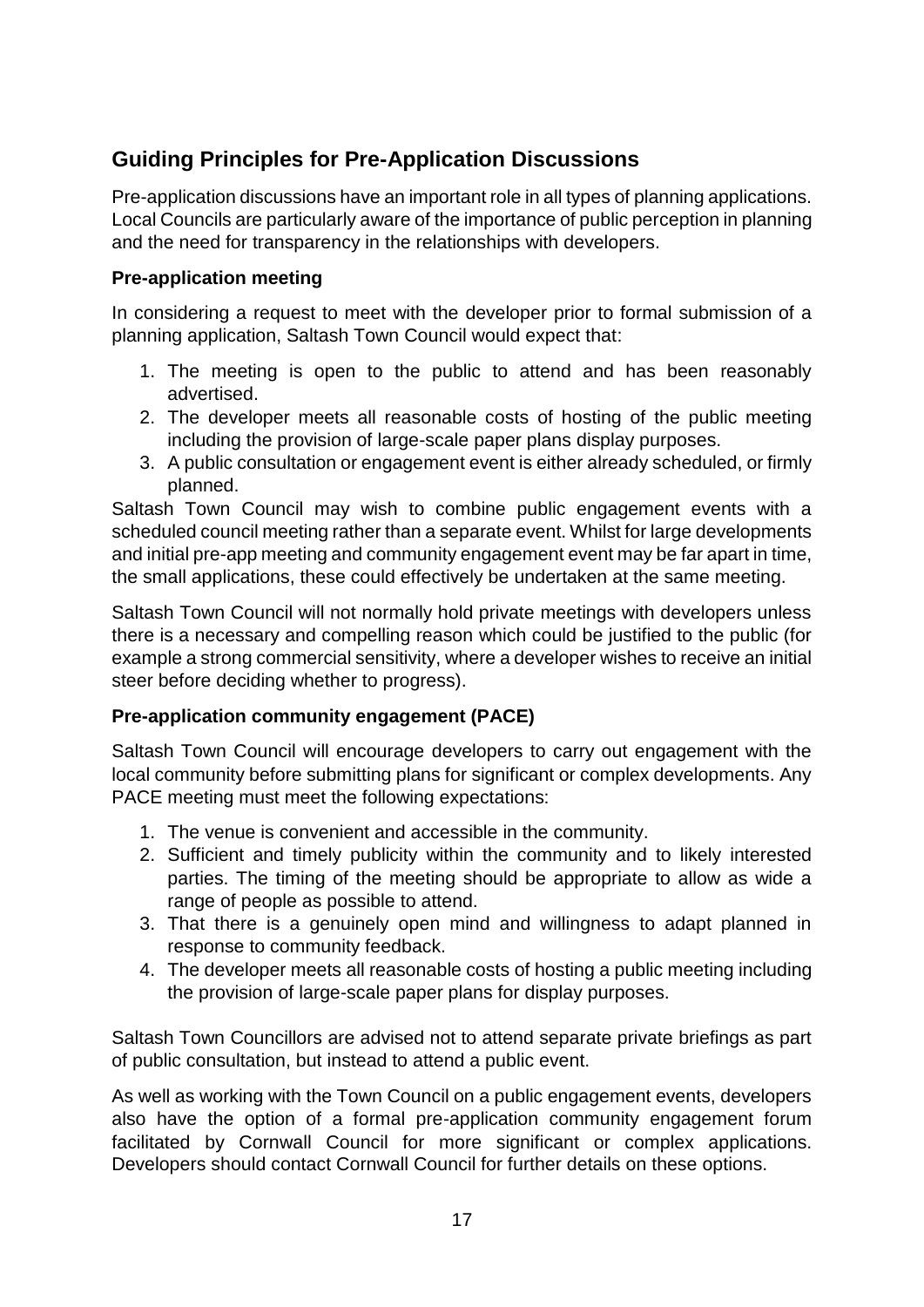#### **Guiding Principles for Pre-Application Discussions**

Pre-application discussions have an important role in all types of planning applications. Local Councils are particularly aware of the importance of public perception in planning and the need for transparency in the relationships with developers.

#### **Pre-application meeting**

In considering a request to meet with the developer prior to formal submission of a planning application, Saltash Town Council would expect that:

- 1. The meeting is open to the public to attend and has been reasonably advertised.
- 2. The developer meets all reasonable costs of hosting of the public meeting including the provision of large-scale paper plans display purposes.
- 3. A public consultation or engagement event is either already scheduled, or firmly planned.

Saltash Town Council may wish to combine public engagement events with a scheduled council meeting rather than a separate event. Whilst for large developments and initial pre-app meeting and community engagement event may be far apart in time, the small applications, these could effectively be undertaken at the same meeting.

Saltash Town Council will not normally hold private meetings with developers unless there is a necessary and compelling reason which could be justified to the public (for example a strong commercial sensitivity, where a developer wishes to receive an initial steer before deciding whether to progress).

#### **Pre-application community engagement (PACE)**

Saltash Town Council will encourage developers to carry out engagement with the local community before submitting plans for significant or complex developments. Any PACE meeting must meet the following expectations:

- 1. The venue is convenient and accessible in the community.
- 2. Sufficient and timely publicity within the community and to likely interested parties. The timing of the meeting should be appropriate to allow as wide a range of people as possible to attend.
- 3. That there is a genuinely open mind and willingness to adapt planned in response to community feedback.
- 4. The developer meets all reasonable costs of hosting a public meeting including the provision of large-scale paper plans for display purposes.

Saltash Town Councillors are advised not to attend separate private briefings as part of public consultation, but instead to attend a public event.

As well as working with the Town Council on a public engagement events, developers also have the option of a formal pre-application community engagement forum facilitated by Cornwall Council for more significant or complex applications. Developers should contact Cornwall Council for further details on these options.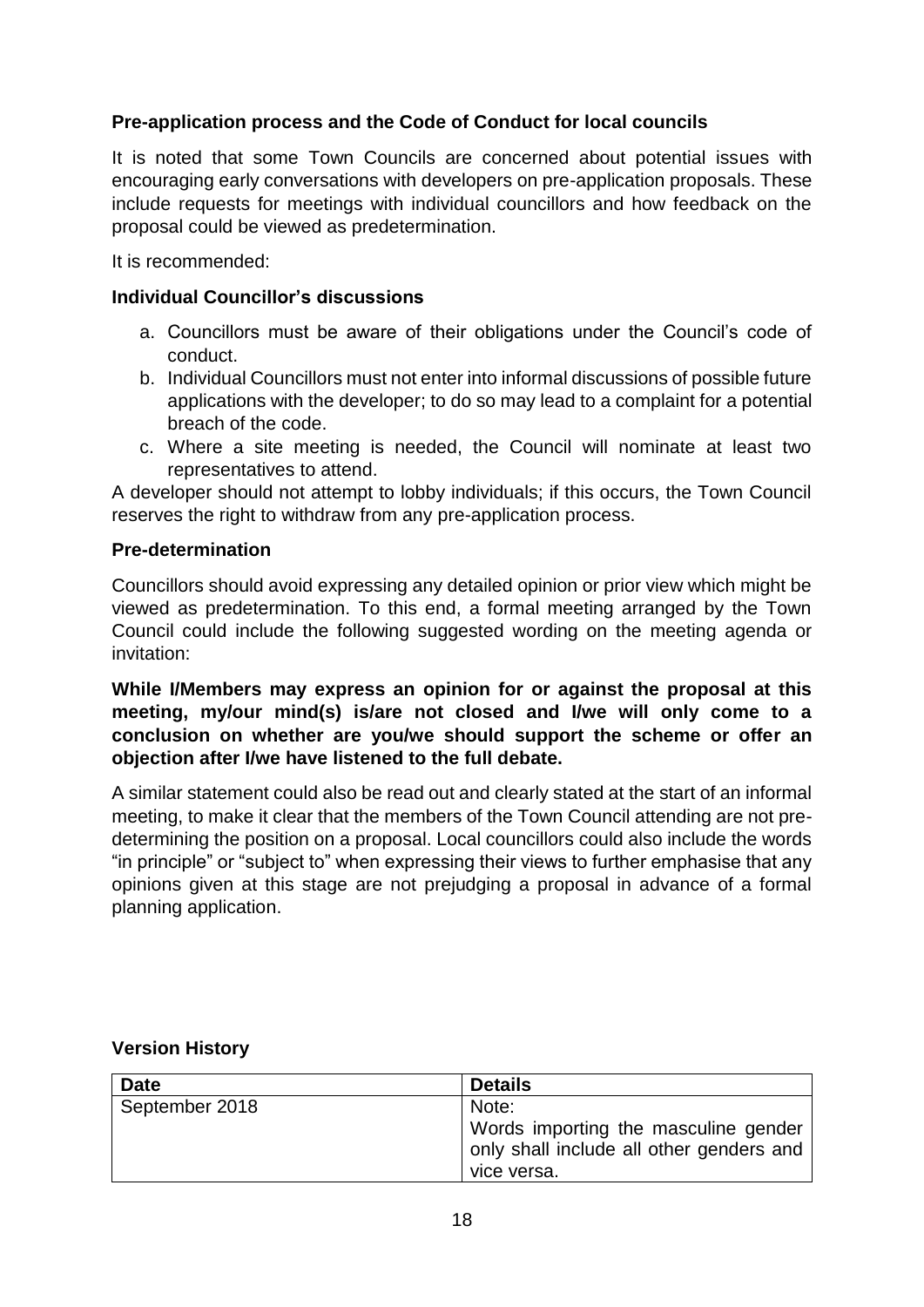#### **Pre-application process and the Code of Conduct for local councils**

It is noted that some Town Councils are concerned about potential issues with encouraging early conversations with developers on pre-application proposals. These include requests for meetings with individual councillors and how feedback on the proposal could be viewed as predetermination.

It is recommended:

#### **Individual Councillor's discussions**

- a. Councillors must be aware of their obligations under the Council's code of conduct.
- b. Individual Councillors must not enter into informal discussions of possible future applications with the developer; to do so may lead to a complaint for a potential breach of the code.
- c. Where a site meeting is needed, the Council will nominate at least two representatives to attend.

A developer should not attempt to lobby individuals; if this occurs, the Town Council reserves the right to withdraw from any pre-application process.

#### **Pre-determination**

Councillors should avoid expressing any detailed opinion or prior view which might be viewed as predetermination. To this end, a formal meeting arranged by the Town Council could include the following suggested wording on the meeting agenda or invitation:

**While I/Members may express an opinion for or against the proposal at this meeting, my/our mind(s) is/are not closed and I/we will only come to a conclusion on whether are you/we should support the scheme or offer an objection after I/we have listened to the full debate.**

A similar statement could also be read out and clearly stated at the start of an informal meeting, to make it clear that the members of the Town Council attending are not predetermining the position on a proposal. Local councillors could also include the words "in principle" or "subject to" when expressing their views to further emphasise that any opinions given at this stage are not prejudging a proposal in advance of a formal planning application.

#### **Version History**

| <b>Date</b>    | <b>Details</b>                                                                   |
|----------------|----------------------------------------------------------------------------------|
| September 2018 | Note:                                                                            |
|                | Words importing the masculine gender<br>only shall include all other genders and |
|                | vice versa.                                                                      |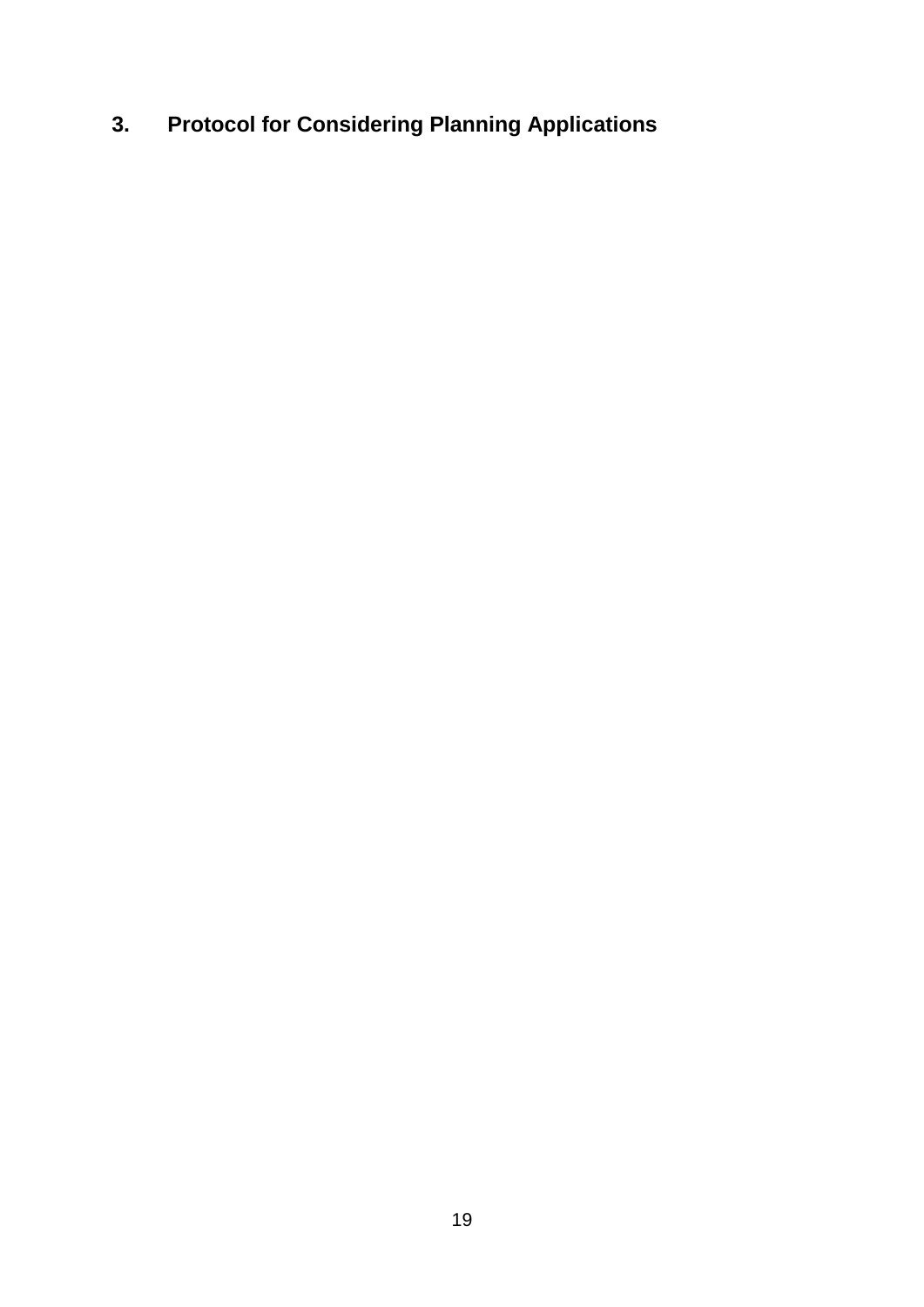## <span id="page-18-0"></span>**3. Protocol for Considering Planning Applications**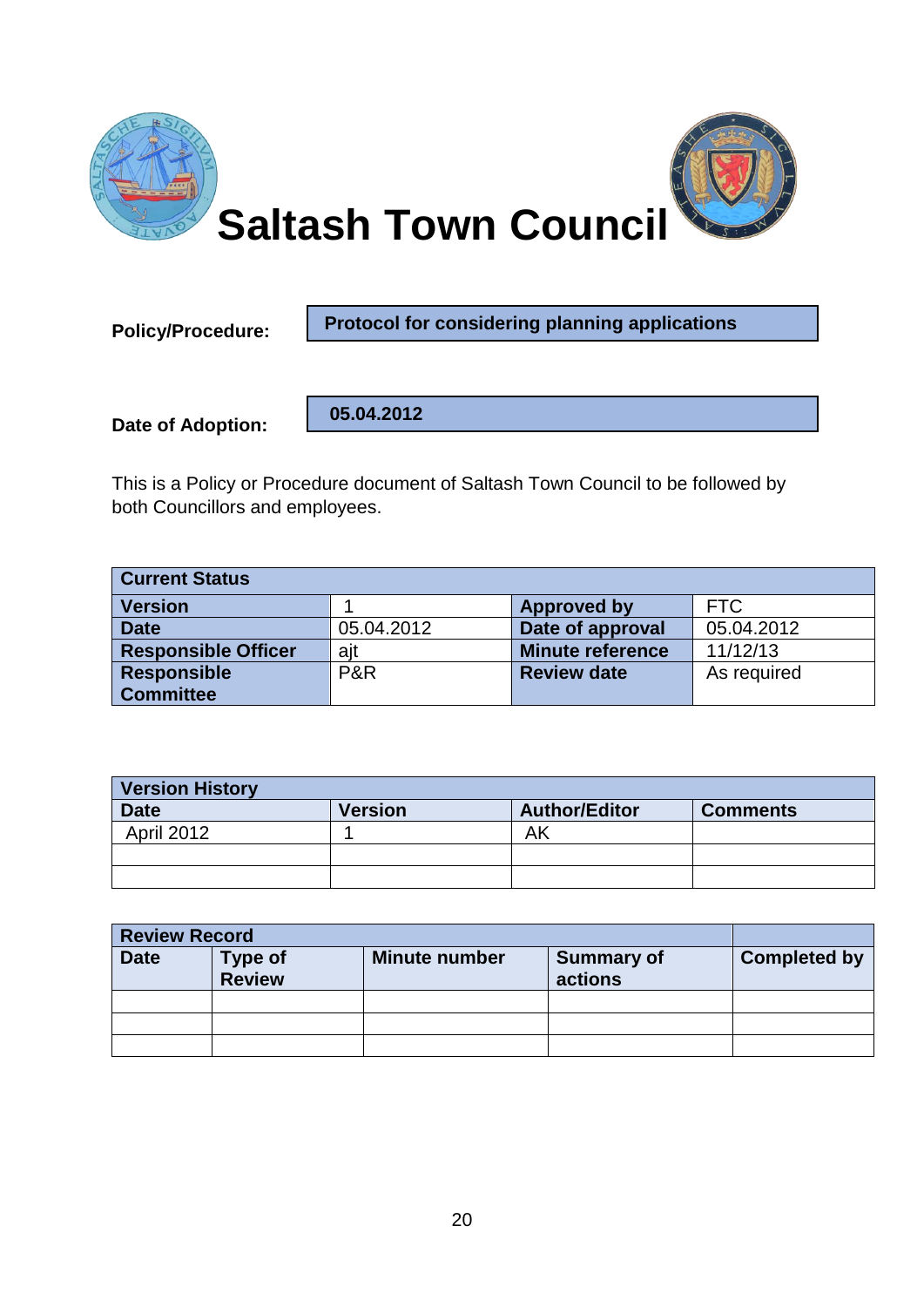

**Policy/Procedure:** 

**Protocol for considering planning applications**

**Date of Adoption:**

 **05.04.2012**

This is a Policy or Procedure document of Saltash Town Council to be followed by both Councillors and employees.

| <b>Current Status</b>      |            |                         |             |
|----------------------------|------------|-------------------------|-------------|
| <b>Version</b>             |            | <b>Approved by</b>      | <b>FTC</b>  |
| <b>Date</b>                | 05.04.2012 | Date of approval        | 05.04.2012  |
| <b>Responsible Officer</b> | ajt        | <b>Minute reference</b> | 11/12/13    |
| <b>Responsible</b>         | P&R        | <b>Review date</b>      | As required |
| <b>Committee</b>           |            |                         |             |

| <b>Version History</b> |                |                      |                 |
|------------------------|----------------|----------------------|-----------------|
| <b>Date</b>            | <b>Version</b> | <b>Author/Editor</b> | <b>Comments</b> |
| <b>April 2012</b>      |                | ΑK                   |                 |
|                        |                |                      |                 |
|                        |                |                      |                 |

| <b>Review Record</b> |                                 |                      |                              |                     |
|----------------------|---------------------------------|----------------------|------------------------------|---------------------|
| <b>Date</b>          | <b>Type of</b><br><b>Review</b> | <b>Minute number</b> | <b>Summary of</b><br>actions | <b>Completed by</b> |
|                      |                                 |                      |                              |                     |
|                      |                                 |                      |                              |                     |
|                      |                                 |                      |                              |                     |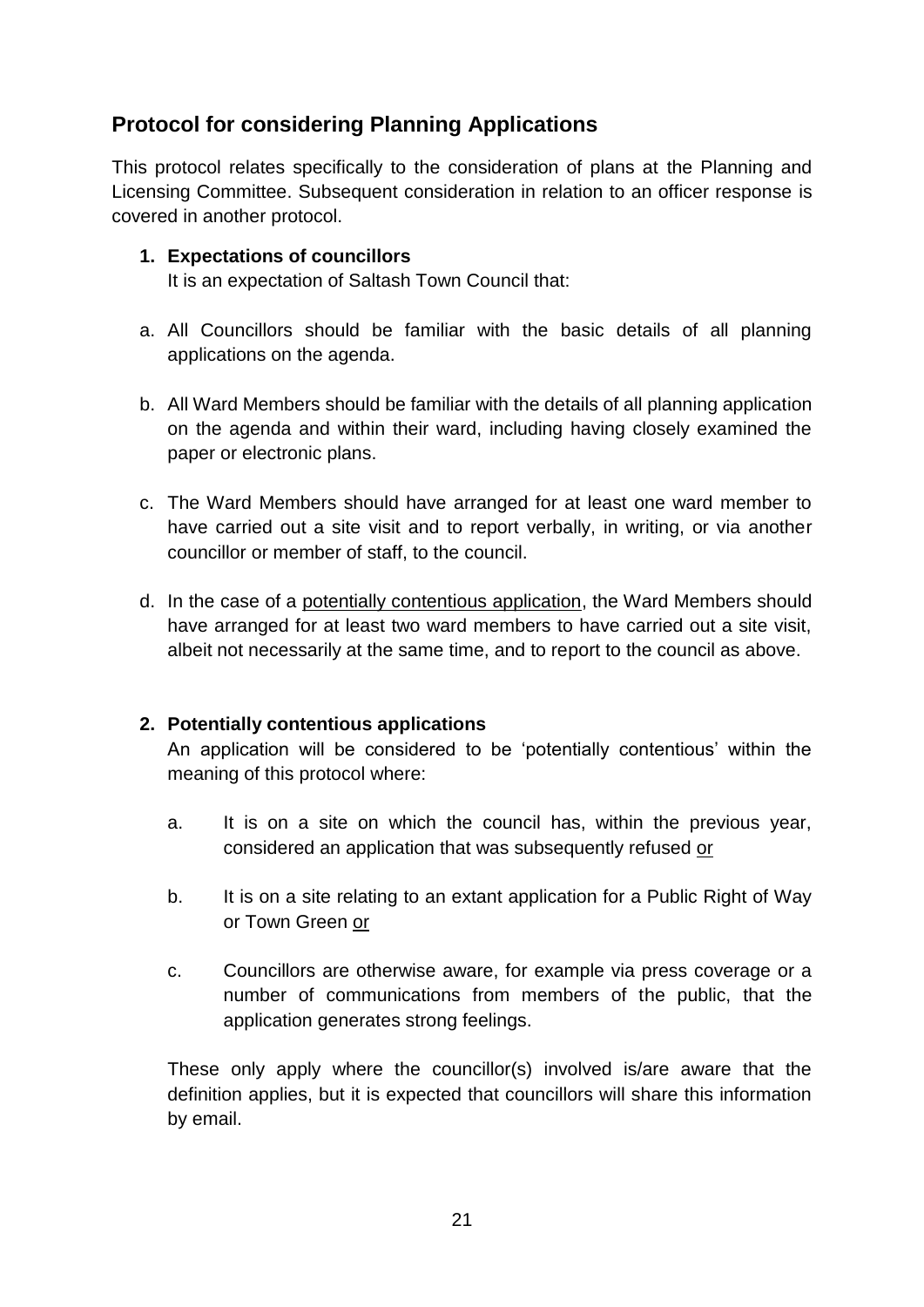#### **Protocol for considering Planning Applications**

This protocol relates specifically to the consideration of plans at the Planning and Licensing Committee. Subsequent consideration in relation to an officer response is covered in another protocol.

#### **1. Expectations of councillors**

It is an expectation of Saltash Town Council that:

- a. All Councillors should be familiar with the basic details of all planning applications on the agenda.
- b. All Ward Members should be familiar with the details of all planning application on the agenda and within their ward, including having closely examined the paper or electronic plans.
- c. The Ward Members should have arranged for at least one ward member to have carried out a site visit and to report verbally, in writing, or via another councillor or member of staff, to the council.
- d. In the case of a potentially contentious application, the Ward Members should have arranged for at least two ward members to have carried out a site visit, albeit not necessarily at the same time, and to report to the council as above.

#### **2. Potentially contentious applications**

An application will be considered to be 'potentially contentious' within the meaning of this protocol where:

- a. It is on a site on which the council has, within the previous year, considered an application that was subsequently refused or
- b. It is on a site relating to an extant application for a Public Right of Way or Town Green or
- c. Councillors are otherwise aware, for example via press coverage or a number of communications from members of the public, that the application generates strong feelings.

These only apply where the councillor(s) involved is/are aware that the definition applies, but it is expected that councillors will share this information by email.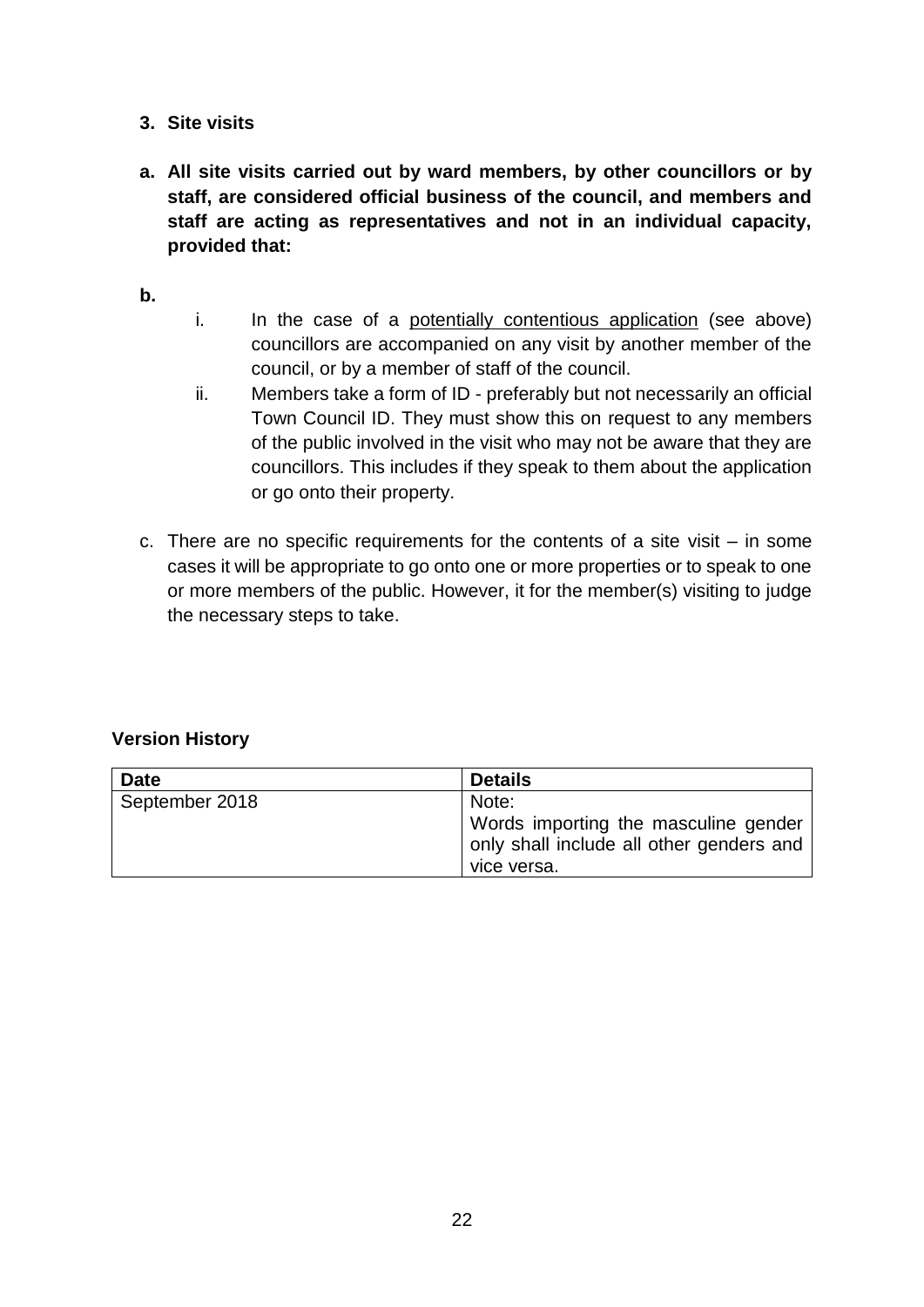- **3. Site visits**
- **a. All site visits carried out by ward members, by other councillors or by staff, are considered official business of the council, and members and staff are acting as representatives and not in an individual capacity, provided that:**

**b.**

- i. In the case of a potentially contentious application (see above) councillors are accompanied on any visit by another member of the council, or by a member of staff of the council.
- ii. Members take a form of ID preferably but not necessarily an official Town Council ID. They must show this on request to any members of the public involved in the visit who may not be aware that they are councillors. This includes if they speak to them about the application or go onto their property.
- c. There are no specific requirements for the contents of a site visit in some cases it will be appropriate to go onto one or more properties or to speak to one or more members of the public. However, it for the member(s) visiting to judge the necessary steps to take.

#### **Version History**

| <b>Date</b>    | <b>Details</b>                                                                                  |
|----------------|-------------------------------------------------------------------------------------------------|
| September 2018 | Note:                                                                                           |
|                | Words importing the masculine gender<br>only shall include all other genders and<br>vice versa. |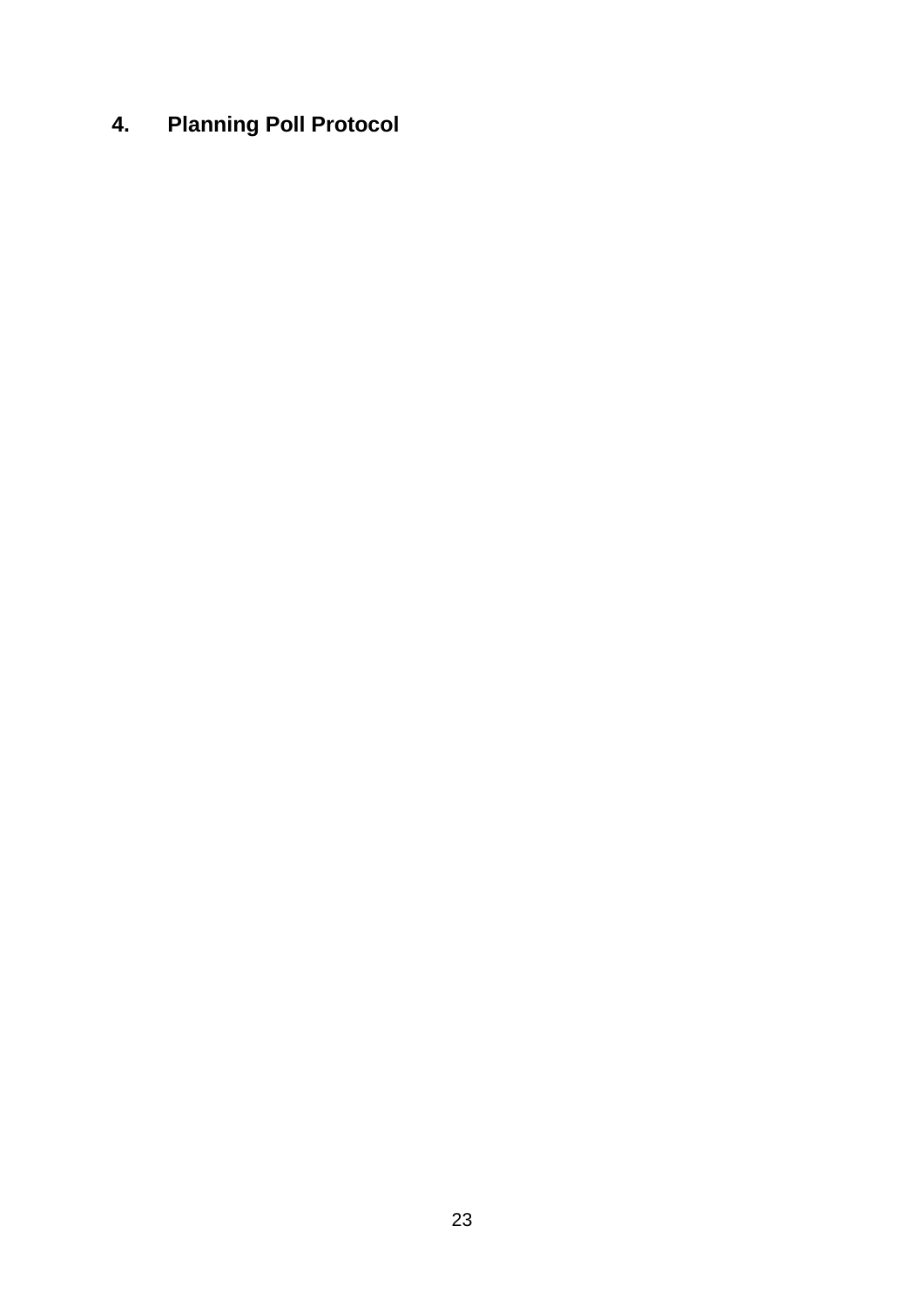## <span id="page-22-0"></span>**4. Planning Poll Protocol**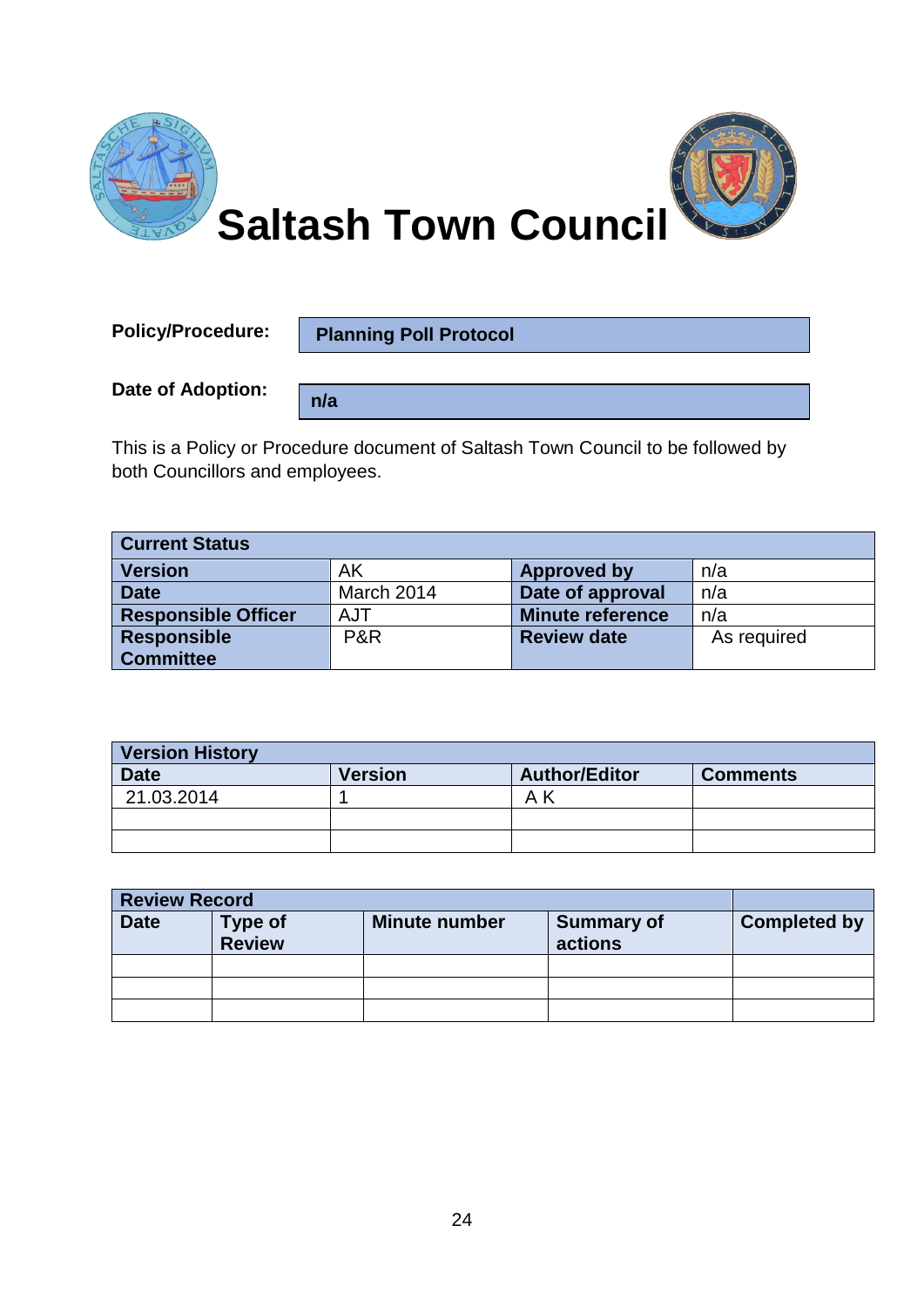

**Policy/Procedure:** 

**Planning Poll Protocol**

**n/a**

**Date of Adoption:**

This is a Policy or Procedure document of Saltash Town Council to be followed by both Councillors and employees.

| <b>Current Status</b>      |            |                         |             |
|----------------------------|------------|-------------------------|-------------|
| <b>Version</b>             | AK         | Approved by             | n/a         |
| <b>Date</b>                | March 2014 | Date of approval        | n/a         |
| <b>Responsible Officer</b> | AJT        | <b>Minute reference</b> | n/a         |
| <b>Responsible</b>         | P&R        | <b>Review date</b>      | As required |
| <b>Committee</b>           |            |                         |             |

| <b>Version History</b> |                |                      |                 |
|------------------------|----------------|----------------------|-----------------|
| <b>Date</b>            | <b>Version</b> | <b>Author/Editor</b> | <b>Comments</b> |
| 21.03.2014             |                | Αk                   |                 |
|                        |                |                      |                 |
|                        |                |                      |                 |

| <b>Review Record</b> |                           |                      |                              |                     |
|----------------------|---------------------------|----------------------|------------------------------|---------------------|
| <b>Date</b>          | <b>Type of<br/>Review</b> | <b>Minute number</b> | <b>Summary of</b><br>actions | <b>Completed by</b> |
|                      |                           |                      |                              |                     |
|                      |                           |                      |                              |                     |
|                      |                           |                      |                              |                     |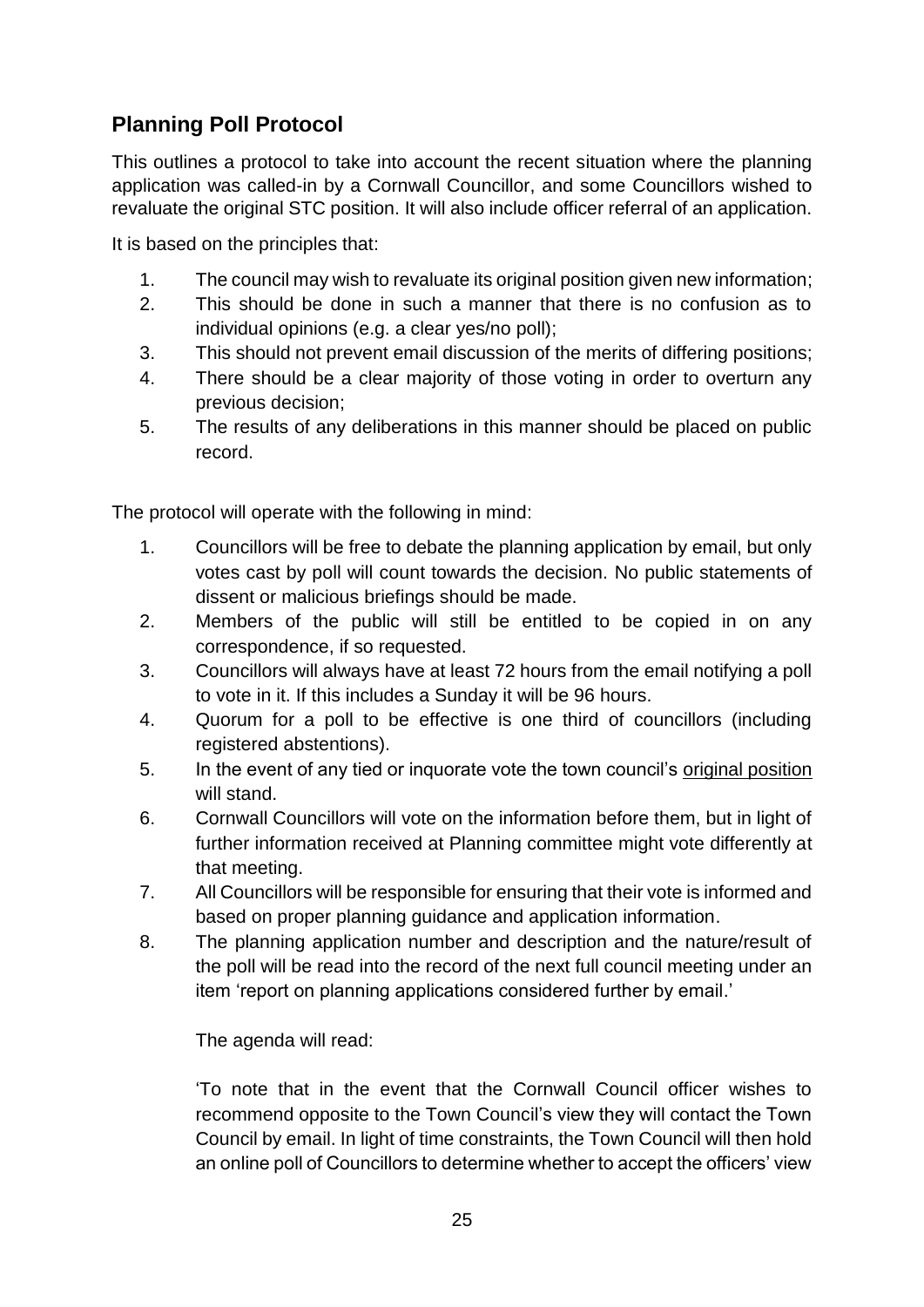#### **Planning Poll Protocol**

This outlines a protocol to take into account the recent situation where the planning application was called-in by a Cornwall Councillor, and some Councillors wished to revaluate the original STC position. It will also include officer referral of an application.

It is based on the principles that:

- 1. The council may wish to revaluate its original position given new information;
- 2. This should be done in such a manner that there is no confusion as to individual opinions (e.g. a clear yes/no poll);
- 3. This should not prevent email discussion of the merits of differing positions;
- 4. There should be a clear majority of those voting in order to overturn any previous decision;
- 5. The results of any deliberations in this manner should be placed on public record.

The protocol will operate with the following in mind:

- 1. Councillors will be free to debate the planning application by email, but only votes cast by poll will count towards the decision. No public statements of dissent or malicious briefings should be made.
- 2. Members of the public will still be entitled to be copied in on any correspondence, if so requested.
- 3. Councillors will always have at least 72 hours from the email notifying a poll to vote in it. If this includes a Sunday it will be 96 hours.
- 4. Quorum for a poll to be effective is one third of councillors (including registered abstentions).
- 5. In the event of any tied or inquorate vote the town council's original position will stand.
- 6. Cornwall Councillors will vote on the information before them, but in light of further information received at Planning committee might vote differently at that meeting.
- 7. All Councillors will be responsible for ensuring that their vote is informed and based on proper planning guidance and application information.
- 8. The planning application number and description and the nature/result of the poll will be read into the record of the next full council meeting under an item 'report on planning applications considered further by email.'

The agenda will read:

'To note that in the event that the Cornwall Council officer wishes to recommend opposite to the Town Council's view they will contact the Town Council by email. In light of time constraints, the Town Council will then hold an online poll of Councillors to determine whether to accept the officers' view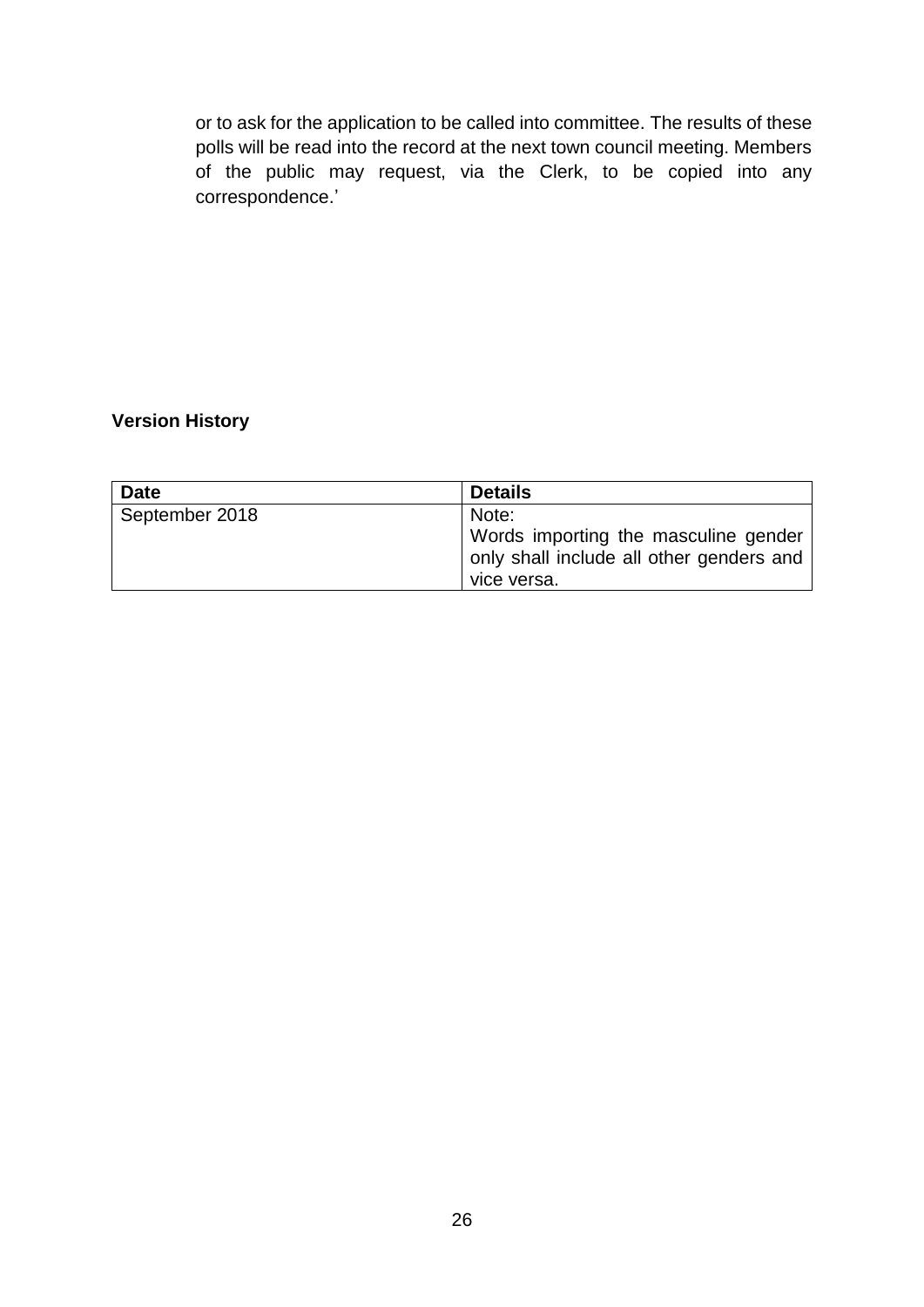or to ask for the application to be called into committee. The results of these polls will be read into the record at the next town council meeting. Members of the public may request, via the Clerk, to be copied into any correspondence.'

#### **Version History**

| <b>Date</b>    | <b>Details</b>                                                                                  |  |
|----------------|-------------------------------------------------------------------------------------------------|--|
| September 2018 | Note:                                                                                           |  |
|                | Words importing the masculine gender<br>only shall include all other genders and<br>vice versa. |  |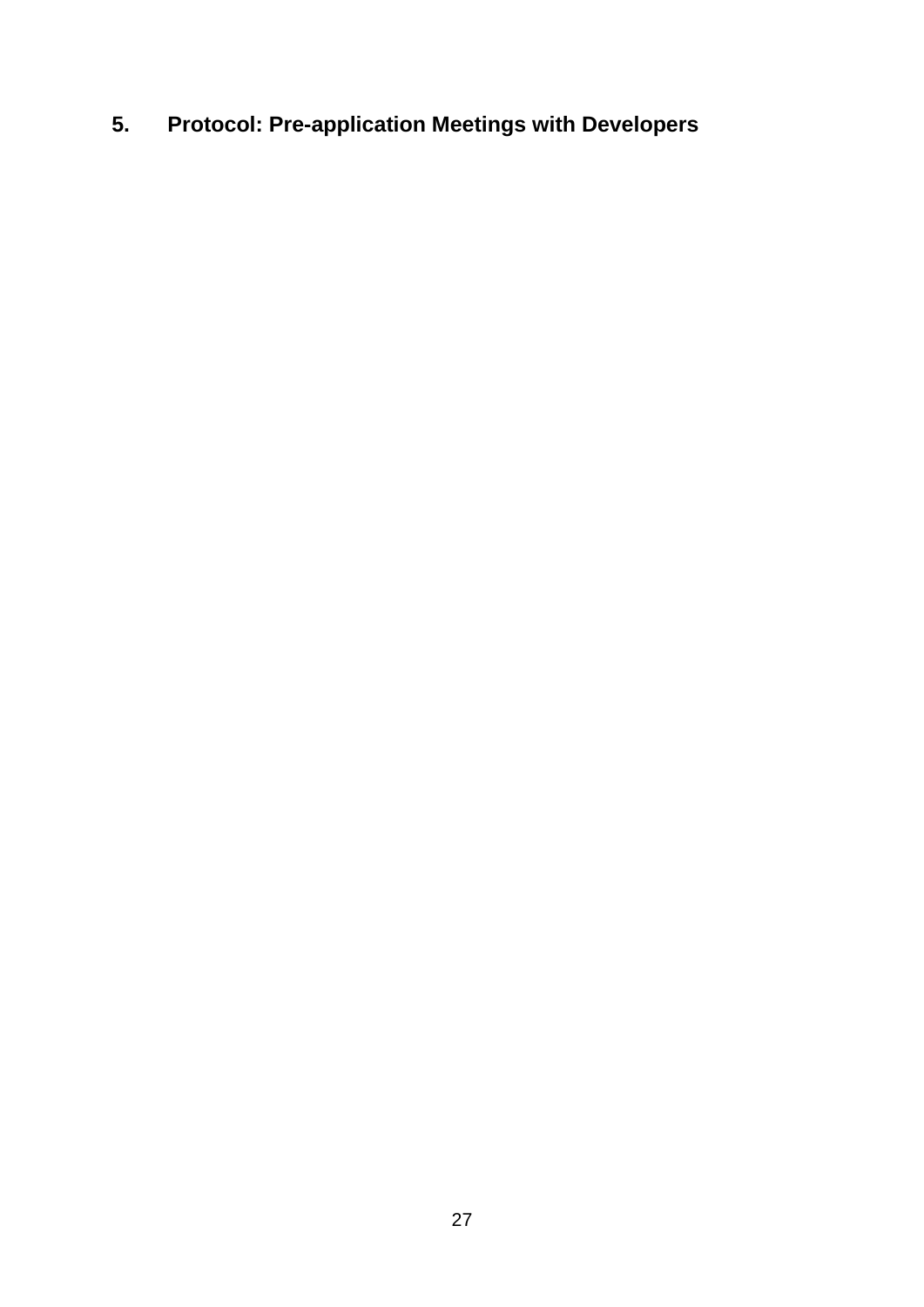## <span id="page-26-0"></span>**5. Protocol: Pre-application Meetings with Developers**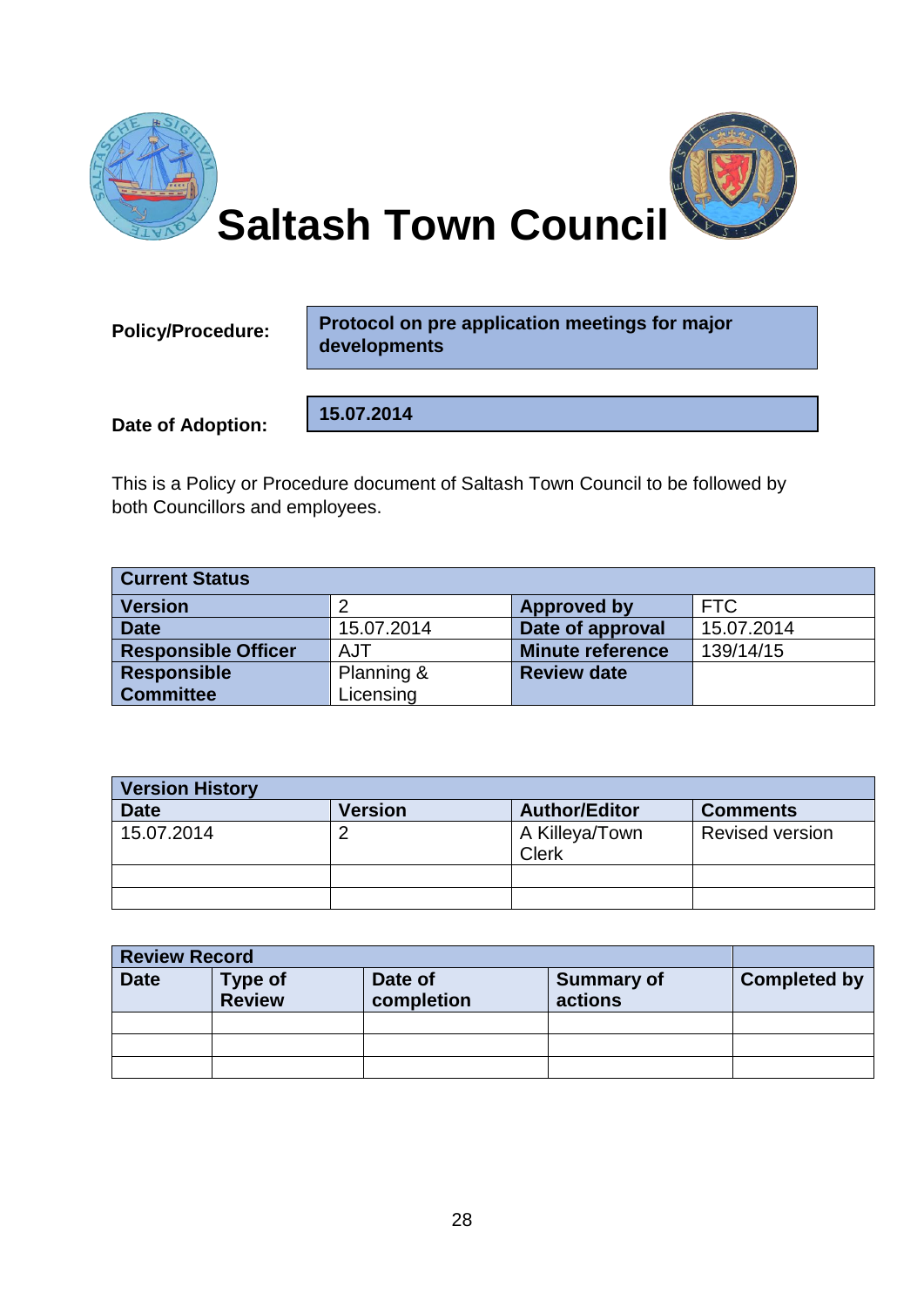![](_page_27_Picture_0.jpeg)

**Policy/Procedure:** 

**Protocol on pre application meetings for major developments**

**Date of Adoption:**

**15.07.2014**

This is a Policy or Procedure document of Saltash Town Council to be followed by both Councillors and employees.

| <b>Current Status</b>      |            |                         |            |  |  |
|----------------------------|------------|-------------------------|------------|--|--|
| <b>Version</b>             |            | <b>Approved by</b>      | <b>FTC</b> |  |  |
| <b>Date</b>                | 15.07.2014 | Date of approval        | 15.07.2014 |  |  |
| <b>Responsible Officer</b> | AJT        | <b>Minute reference</b> | 139/14/15  |  |  |
| <b>Responsible</b>         | Planning & | <b>Review date</b>      |            |  |  |
| <b>Committee</b>           | Licensing  |                         |            |  |  |

| <b>Version History</b> |                |                                |                        |  |  |
|------------------------|----------------|--------------------------------|------------------------|--|--|
| <b>Date</b>            | <b>Version</b> | <b>Author/Editor</b>           | <b>Comments</b>        |  |  |
| 15.07.2014             |                | A Killeya/Town<br><b>Clerk</b> | <b>Revised version</b> |  |  |
|                        |                |                                |                        |  |  |
|                        |                |                                |                        |  |  |

| <b>Review Record</b> |                                 |                       |                              |                     |
|----------------------|---------------------------------|-----------------------|------------------------------|---------------------|
| <b>Date</b>          | <b>Type of</b><br><b>Review</b> | Date of<br>completion | <b>Summary of</b><br>actions | <b>Completed by</b> |
|                      |                                 |                       |                              |                     |
|                      |                                 |                       |                              |                     |
|                      |                                 |                       |                              |                     |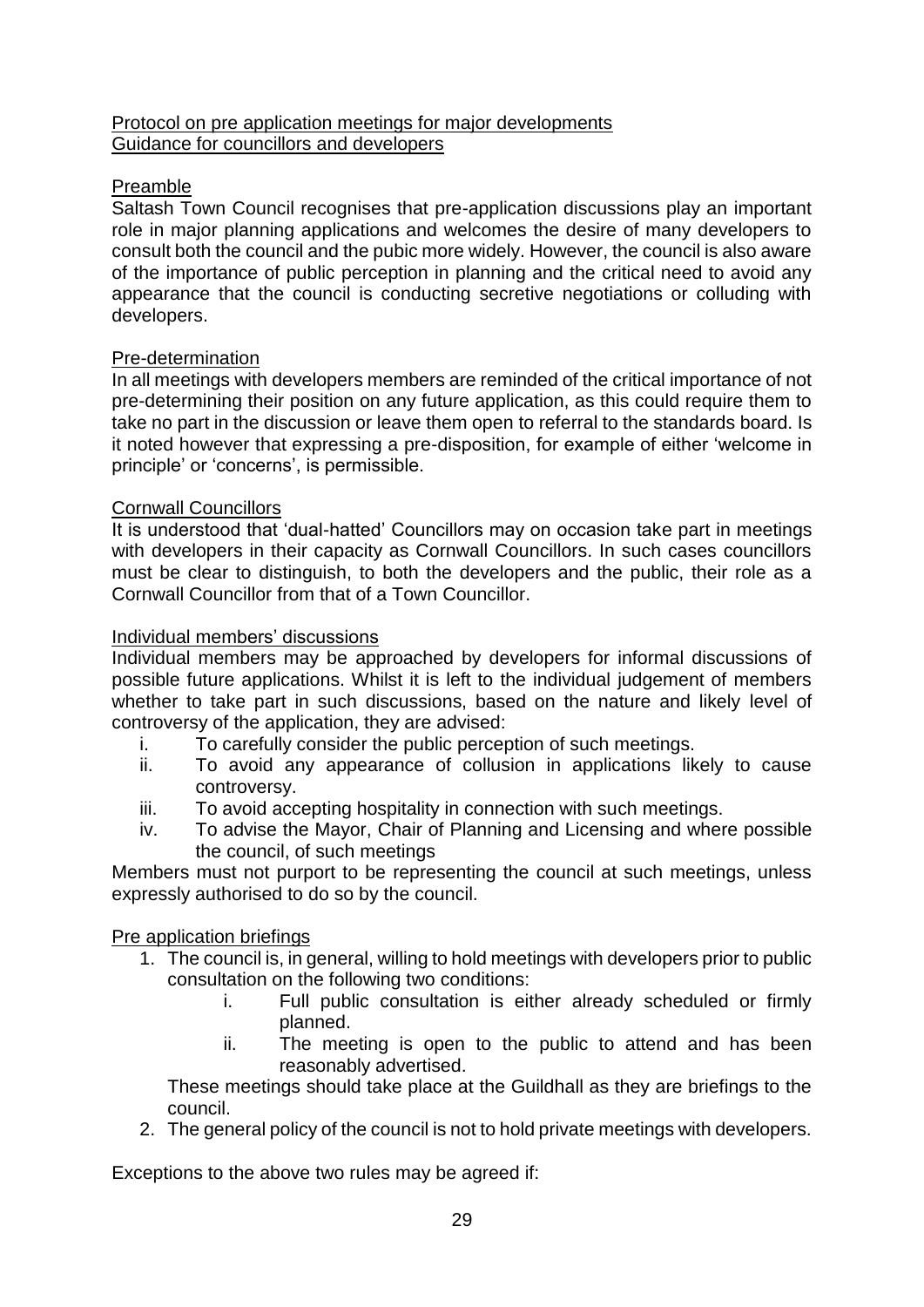#### Protocol on pre application meetings for major developments Guidance for councillors and developers

#### Preamble

Saltash Town Council recognises that pre-application discussions play an important role in major planning applications and welcomes the desire of many developers to consult both the council and the pubic more widely. However, the council is also aware of the importance of public perception in planning and the critical need to avoid any appearance that the council is conducting secretive negotiations or colluding with developers.

#### Pre-determination

In all meetings with developers members are reminded of the critical importance of not pre-determining their position on any future application, as this could require them to take no part in the discussion or leave them open to referral to the standards board. Is it noted however that expressing a pre-disposition, for example of either 'welcome in principle' or 'concerns', is permissible.

#### Cornwall Councillors

It is understood that 'dual-hatted' Councillors may on occasion take part in meetings with developers in their capacity as Cornwall Councillors. In such cases councillors must be clear to distinguish, to both the developers and the public, their role as a Cornwall Councillor from that of a Town Councillor.

#### Individual members' discussions

Individual members may be approached by developers for informal discussions of possible future applications. Whilst it is left to the individual judgement of members whether to take part in such discussions, based on the nature and likely level of controversy of the application, they are advised:

- i. To carefully consider the public perception of such meetings.
- ii. To avoid any appearance of collusion in applications likely to cause controversy.
- iii. To avoid accepting hospitality in connection with such meetings.
- iv. To advise the Mayor, Chair of Planning and Licensing and where possible the council, of such meetings

Members must not purport to be representing the council at such meetings, unless expressly authorised to do so by the council.

#### **Pre application briefings**

- 1. The council is, in general, willing to hold meetings with developers prior to public consultation on the following two conditions:
	- i. Full public consultation is either already scheduled or firmly planned.
	- ii. The meeting is open to the public to attend and has been reasonably advertised.

These meetings should take place at the Guildhall as they are briefings to the council.

2. The general policy of the council is not to hold private meetings with developers.

Exceptions to the above two rules may be agreed if: